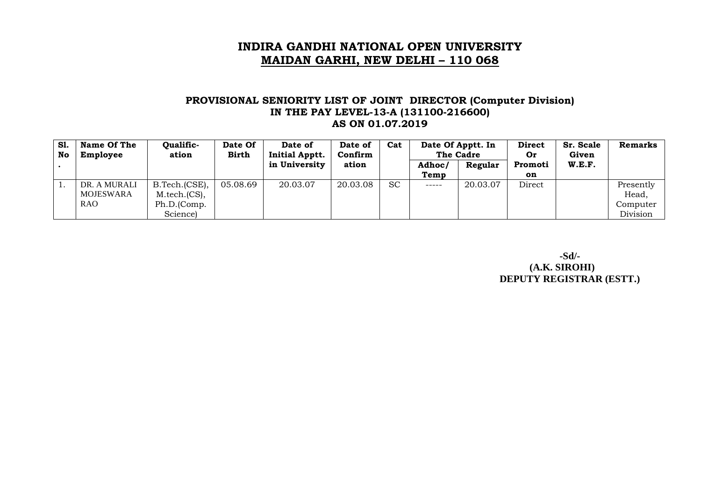#### **PROVISIONAL SENIORITY LIST OF JOINT DIRECTOR (Computer Division) IN THE PAY LEVEL-13-A (131100-216600) AS ON 01.07.2019**

| <b>S1.</b><br>No | Name Of The<br>Employee | Qualific-<br>ation | Date Of<br><b>Birth</b> | Date of<br><b>Initial Apptt.</b> | Date of<br>Confirm | Cat       |        | Date Of Apptt. In<br>The Cadre |         | Sr. Scale<br>Given | <b>Remarks</b> |
|------------------|-------------------------|--------------------|-------------------------|----------------------------------|--------------------|-----------|--------|--------------------------------|---------|--------------------|----------------|
|                  |                         |                    |                         | in University                    | ation              |           | Adhoc/ | Regular                        | Promoti | W.E.F.             |                |
|                  |                         |                    |                         |                                  |                    |           | Temp   |                                | on      |                    |                |
| ⊥.               | DR. A MURALI            | B.Tech.(CSE),      | 05.08.69                | 20.03.07                         | 20.03.08           | <b>SC</b> | ______ | 20.03.07                       | Direct  |                    | Presently      |
|                  | <b>MOJESWARA</b>        | M.tech. (CS),      |                         |                                  |                    |           |        |                                |         |                    | Head,          |
|                  | RAO                     | Ph.D.(Comp.        |                         |                                  |                    |           |        |                                |         |                    | Computer       |
|                  |                         | Science)           |                         |                                  |                    |           |        |                                |         |                    | Division       |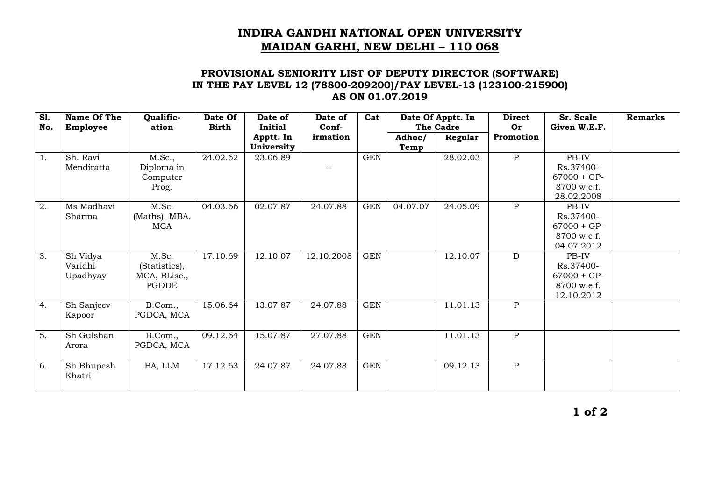### **PROVISIONAL SENIORITY LIST OF DEPUTY DIRECTOR (SOFTWARE) IN THE PAY LEVEL 12 (78800-209200)/PAY LEVEL-13 (123100-215900) AS ON 01.07.2019**

| <b>S1.</b><br>No. | Name Of The<br>Employee         | Qualific-<br>ation                              | Date Of<br><b>Birth</b> | Date of<br><b>Initial</b> | Date of<br>Conf- | Cat        |                | Date Of Apptt. In<br><b>The Cadre</b> | <b>Direct</b><br><b>Or</b> | Sr. Scale<br>Given W.E.F.                                        | <b>Remarks</b> |
|-------------------|---------------------------------|-------------------------------------------------|-------------------------|---------------------------|------------------|------------|----------------|---------------------------------------|----------------------------|------------------------------------------------------------------|----------------|
|                   |                                 |                                                 |                         | Apptt. In<br>University   | irmation         |            | Adhoc/<br>Temp | Regular                               | Promotion                  |                                                                  |                |
| 1.                | Sh. Ravi<br>Mendiratta          | M.Sc.,<br>Diploma in<br>Computer<br>Prog.       | 24.02.62                | 23.06.89                  |                  | <b>GEN</b> |                | 28.02.03                              | $\mathbf{P}$               | PB-IV<br>Rs.37400-<br>$67000 + GP-$<br>8700 w.e.f.<br>28.02.2008 |                |
| $\overline{2}$ .  | Ms Madhavi<br>Sharma            | M.Sc.<br>(Maths), MBA,<br>MCA                   | 04.03.66                | 02.07.87                  | 24.07.88         | <b>GEN</b> | 04.07.07       | 24.05.09                              | $\mathbf{P}$               | PB-IV<br>Rs.37400-<br>$67000 + GP-$<br>8700 w.e.f.<br>04.07.2012 |                |
| 3.                | Sh Vidya<br>Varidhi<br>Upadhyay | M.Sc.<br>(Statistics),<br>MCA, BLisc.,<br>PGDDE | 17.10.69                | 12.10.07                  | 12.10.2008       | <b>GEN</b> |                | 12.10.07                              | D                          | PB-IV<br>Rs.37400-<br>$67000 + GP-$<br>8700 w.e.f.<br>12.10.2012 |                |
| 4.                | Sh Sanjeev<br>Kapoor            | B.Com.,<br>PGDCA, MCA                           | 15.06.64                | 13.07.87                  | 24.07.88         | <b>GEN</b> |                | 11.01.13                              | $\mathbf{P}$               |                                                                  |                |
| 5.                | Sh Gulshan<br>Arora             | B.Com.,<br>PGDCA, MCA                           | 09.12.64                | 15.07.87                  | 27.07.88         | <b>GEN</b> |                | 11.01.13                              | $\mathbf{P}$               |                                                                  |                |
| 6.                | Sh Bhupesh<br>Khatri            | BA, LLM                                         | 17.12.63                | 24.07.87                  | 24.07.88         | <b>GEN</b> |                | 09.12.13                              | $\overline{P}$             |                                                                  |                |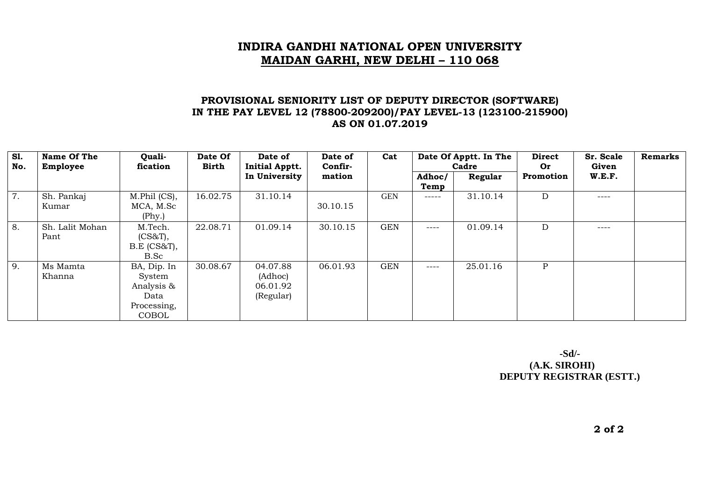### **PROVISIONAL SENIORITY LIST OF DEPUTY DIRECTOR (SOFTWARE) IN THE PAY LEVEL 12 (78800-209200)/PAY LEVEL-13 (123100-215900) AS ON 01.07.2019**

| <b>S1.</b><br>No. | Name Of The<br>Employee | Quali-<br>fication                                                  | Date Of<br>Birth | Date of<br><b>Initial Apptt.</b>             | Date of<br>Confir- | Cat        |                | Date Of Apptt. In The<br>Cadre |              | Sr. Scale<br>Given | <b>Remarks</b> |
|-------------------|-------------------------|---------------------------------------------------------------------|------------------|----------------------------------------------|--------------------|------------|----------------|--------------------------------|--------------|--------------------|----------------|
|                   |                         |                                                                     |                  | In University                                | mation             |            | Adhoc/<br>Temp | Regular                        | Promotion    | <b>W.E.F.</b>      |                |
| 7.                | Sh. Pankaj<br>Kumar     | M.Phil (CS),<br>MCA, M.Sc<br>(Phys.)                                | 16.02.75         | 31.10.14                                     | 30.10.15           | <b>GEN</b> | -----          | 31.10.14                       | D            | ----               |                |
| 8.                | Sh. Lalit Mohan<br>Pant | M.Tech.<br>(CS&T),<br>B.E (CS&T),<br>B.Sc                           | 22.08.71         | 01.09.14                                     | 30.10.15           | <b>GEN</b> | $---$          | 01.09.14                       | D            | ----               |                |
| 9.                | Ms Mamta<br>Khanna      | BA, Dip. In<br>System<br>Analysis &<br>Data<br>Processing,<br>COBOL | 30.08.67         | 04.07.88<br>(Adhoc)<br>06.01.92<br>(Regular) | 06.01.93           | <b>GEN</b> | $---$          | 25.01.16                       | $\mathbf{P}$ |                    |                |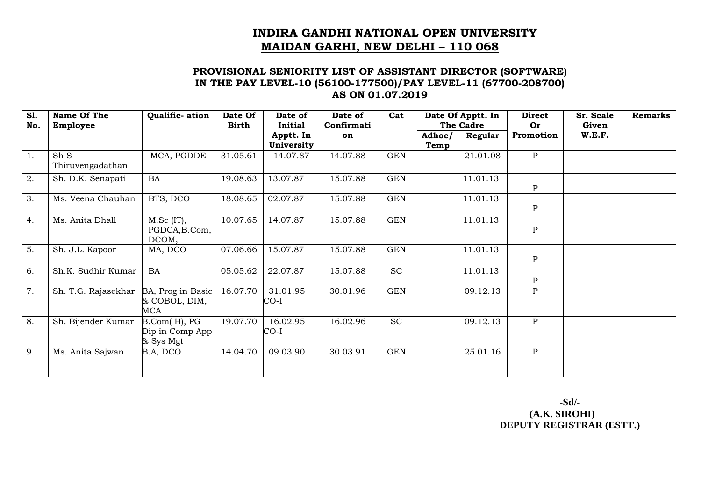#### **PROVISIONAL SENIORITY LIST OF ASSISTANT DIRECTOR (SOFTWARE) IN THE PAY LEVEL-10 (56100-177500)/PAY LEVEL-11 (67700-208700) AS ON 01.07.2019**

| <b>S1.</b><br>No. | Name Of The<br>Employee  | Qualific- ation                              | Date Of<br><b>Birth</b> | Date of<br><b>Initial</b> | Date of<br>Confirmati | Cat        |        | Date Of Apptt. In<br>The Cadre | <b>Direct</b><br>Or | Sr. Scale<br>Given | <b>Remarks</b> |
|-------------------|--------------------------|----------------------------------------------|-------------------------|---------------------------|-----------------------|------------|--------|--------------------------------|---------------------|--------------------|----------------|
|                   |                          |                                              |                         | Apptt. In<br>University   | on                    |            | Adhoc/ | Regular                        | Promotion           | W.E.F.             |                |
| 1.                | Sh S<br>Thiruvengadathan | MCA, PGDDE                                   | 31.05.61                | 14.07.87                  | 14.07.88              | <b>GEN</b> | Temp   | 21.01.08                       | $\mathbf{P}$        |                    |                |
| 2.                | Sh. D.K. Senapati        | <b>BA</b>                                    | 19.08.63                | 13.07.87                  | 15.07.88              | <b>GEN</b> |        | 11.01.13                       | $\, {\bf P}$        |                    |                |
| 3.                | Ms. Veena Chauhan        | BTS, DCO                                     | 18.08.65                | 02.07.87                  | 15.07.88              | <b>GEN</b> |        | 11.01.13                       | $\, {\bf P}$        |                    |                |
| 4.                | Ms. Anita Dhall          | $M.Sc$ (IT),<br>PGDCA, B.Com,<br>DCOM,       | 10.07.65                | 14.07.87                  | 15.07.88              | <b>GEN</b> |        | 11.01.13                       | $\, {\bf P}$        |                    |                |
| $\overline{5}$ .  | Sh. J.L. Kapoor          | MA, DCO                                      | 07.06.66                | 15.07.87                  | 15.07.88              | <b>GEN</b> |        | 11.01.13                       | ${\bf P}$           |                    |                |
| 6.                | Sh.K. Sudhir Kumar       | BA                                           | 05.05.62                | 22.07.87                  | 15.07.88              | <b>SC</b>  |        | 11.01.13                       | $\mathbf{P}$        |                    |                |
| 7.                | Sh. T.G. Rajasekhar      | BA, Prog in Basic<br>& COBOL, DIM,<br>MCA    | 16.07.70                | 31.01.95<br>CO-I          | 30.01.96              | <b>GEN</b> |        | 09.12.13                       | $\mathbf{P}$        |                    |                |
| $\overline{8}$ .  | Sh. Bijender Kumar       | B.Com(H), PG<br>Dip in Comp App<br>& Sys Mgt | 19.07.70                | 16.02.95<br>CO-I          | 16.02.96              | <b>SC</b>  |        | 09.12.13                       | $\mathbf{P}$        |                    |                |
| 9.                | Ms. Anita Sajwan         | B.A, DCO                                     | 14.04.70                | 09.03.90                  | 30.03.91              | <b>GEN</b> |        | 25.01.16                       | $\mathbf{P}$        |                    |                |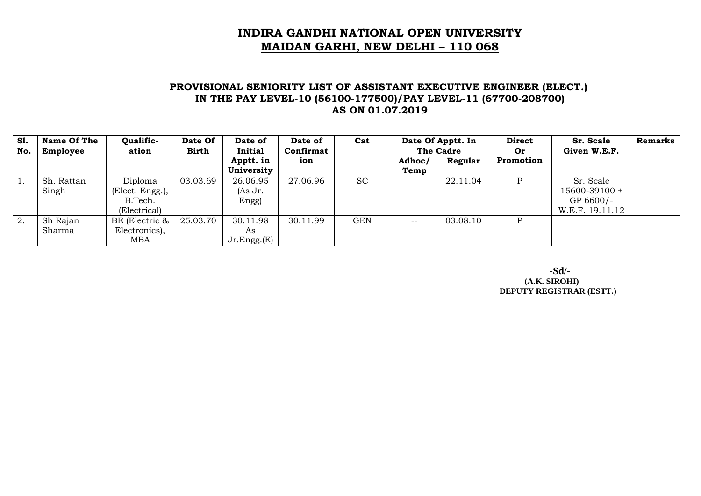#### **PROVISIONAL SENIORITY LIST OF ASSISTANT EXECUTIVE ENGINEER (ELECT.) IN THE PAY LEVEL-10 (56100-177500)/PAY LEVEL-11 (67700-208700) AS ON 01.07.2019**

| S1.<br>No. | Name Of The<br>Employee | Qualific-<br>ation                                    | Date Of<br><b>Birth</b> | Date of<br><b>Initial</b>         | Date of<br>Confirmat | Cat        |                | Date Of Apptt. In<br>The Cadre |           |                                                            |  | Sr. Scale<br>Given W.E.F. | <b>Remarks</b> |
|------------|-------------------------|-------------------------------------------------------|-------------------------|-----------------------------------|----------------------|------------|----------------|--------------------------------|-----------|------------------------------------------------------------|--|---------------------------|----------------|
|            |                         |                                                       |                         | Apptt. in<br>University           | ion                  |            | Adhoc/<br>Temp | Regular                        | Promotion |                                                            |  |                           |                |
|            | Sh. Rattan<br>Singh     | Diploma<br>(Elect. Engg.),<br>B.Tech.<br>(Electrical) | 03.03.69                | 26.06.95<br>$(As \, Jr.$<br>Engg) | 27.06.96             | <b>SC</b>  |                | 22.11.04                       |           | Sr. Scale<br>15600-39100 +<br>GP 6600/-<br>W.E.F. 19.11.12 |  |                           |                |
| 2.         | Sh Rajan<br>Sharma      | BE (Electric &<br>Electronics),<br>MBA                | 25.03.70                | 30.11.98<br>As<br>Jr.Engg.(E)     | 30.11.99             | <b>GEN</b> | $- -$          | 03.08.10                       | D         |                                                            |  |                           |                |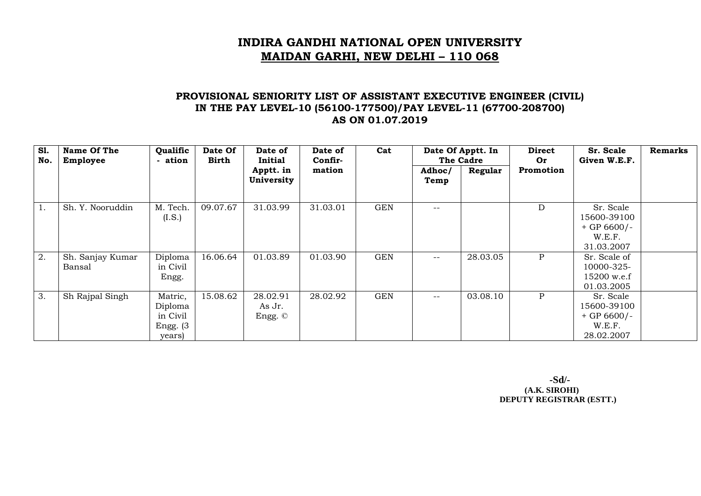### **PROVISIONAL SENIORITY LIST OF ASSISTANT EXECUTIVE ENGINEER (CIVIL) IN THE PAY LEVEL-10 (56100-177500)/PAY LEVEL-11 (67700-208700) AS ON 01.07.2019**

| <b>S1.</b><br>No. | Name Of The<br>Employee    | Qualific<br>- ation                                     | Date Of<br>Birth | Date of<br>Initial            | Date of<br>Confir- | Cat        | Date Of Apptt. In<br>The Cadre |          | <b>Direct</b><br>Or | Sr. Scale<br>Given W.E.F.                                         | <b>Remarks</b> |
|-------------------|----------------------------|---------------------------------------------------------|------------------|-------------------------------|--------------------|------------|--------------------------------|----------|---------------------|-------------------------------------------------------------------|----------------|
|                   |                            |                                                         |                  | Apptt. in<br>University       | mation             |            | Adhoc/<br>Temp                 | Regular  | Promotion           |                                                                   |                |
| 1.                | Sh. Y. Nooruddin           | M. Tech.<br>(I.S.)                                      | 09.07.67         | 31.03.99                      | 31.03.01           | <b>GEN</b> | --                             |          | D                   | Sr. Scale<br>15600-39100<br>$+$ GP 6600/-<br>W.E.F.<br>31.03.2007 |                |
| 2.                | Sh. Sanjay Kumar<br>Bansal | Diploma<br>in Civil<br>Engg.                            | 16.06.64         | 01.03.89                      | 01.03.90           | <b>GEN</b> | $- -$                          | 28.03.05 | P                   | Sr. Scale of<br>10000-325-<br>15200 w.e.f<br>01.03.2005           |                |
| 3.                | Sh Rajpal Singh            | Matric,<br>Diploma<br>in Civil<br>Engg. $(3)$<br>years) | 15.08.62         | 28.02.91<br>As Jr.<br>Engg. © | 28.02.92           | <b>GEN</b> | $- -$                          | 03.08.10 | P                   | Sr. Scale<br>15600-39100<br>$+$ GP 6600/-<br>W.E.F.<br>28.02.2007 |                |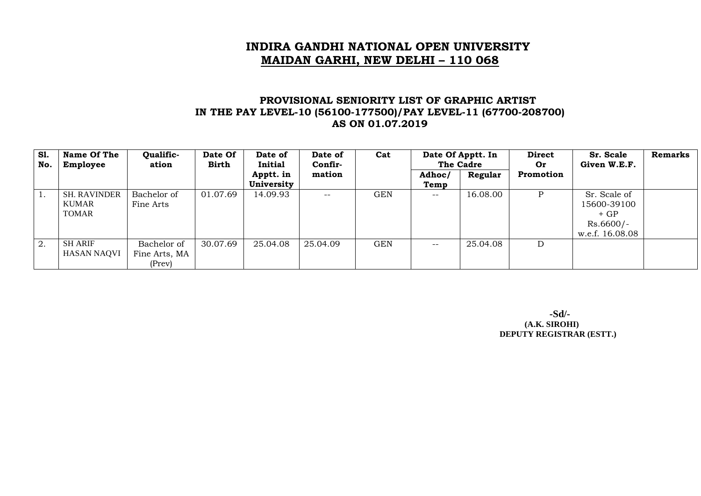#### **PROVISIONAL SENIORITY LIST OF GRAPHIC ARTIST IN THE PAY LEVEL-10 (56100-177500)/PAY LEVEL-11 (67700-208700) AS ON 01.07.2019**

| S1.<br>No. | Name Of The<br>Employee                      | Qualific-<br>ation                     | Date Of<br><b>Birth</b> | Date of<br>Initial      | Date of<br>Confir- | Cat        |                   | Date Of Apptt. In<br>The Cadre |           | Sr. Scale<br>Given W.E.F.                                              | <b>Remarks</b> |
|------------|----------------------------------------------|----------------------------------------|-------------------------|-------------------------|--------------------|------------|-------------------|--------------------------------|-----------|------------------------------------------------------------------------|----------------|
|            |                                              |                                        |                         | Apptt. in<br>University | mation             |            | Adhoc/<br>Temp    | Regular                        | Promotion |                                                                        |                |
|            | <b>SH. RAVINDER</b><br>KUMAR<br><b>TOMAR</b> | Bachelor of<br>Fine Arts               | 01.07.69                | 14.09.93                | $- -$              | <b>GEN</b> | $\qquad \qquad -$ | 16.08.00                       | P         | Sr. Scale of<br>15600-39100<br>$+GP$<br>$Rs.6600/-$<br>w.e.f. 16.08.08 |                |
| 2.         | <b>SH ARIF</b><br><b>HASAN NAQVI</b>         | Bachelor of<br>Fine Arts, MA<br>(Prev) | 30.07.69                | 25.04.08                | 25.04.09           | <b>GEN</b> | $- -$             | 25.04.08                       | D         |                                                                        |                |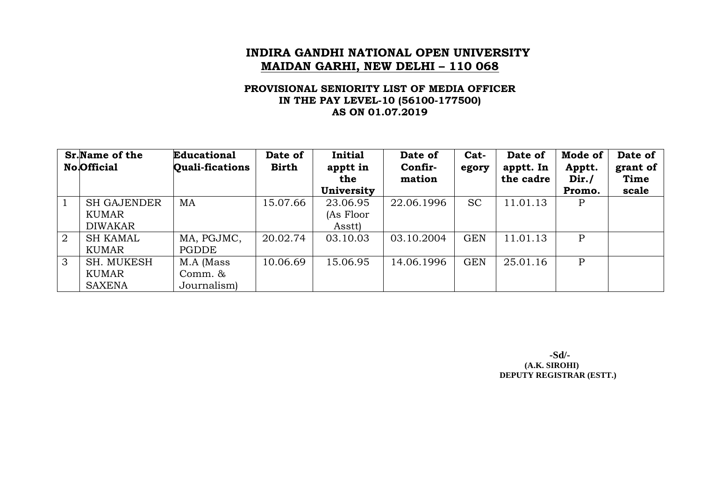#### **PROVISIONAL SENIORITY LIST OF MEDIA OFFICER IN THE PAY LEVEL-10 (56100-177500) AS ON 01.07.2019**

|   | <b>Sr.</b> Name of the<br><b>No.Official</b> | <b>Educational</b><br><b>Quali-fications</b> | Date of<br><b>Birth</b> | <b>Initial</b><br>apptt in<br>the | Date of<br>Confir-<br>mation | Cat-<br>egory | Date of<br>apptt. In<br>the cadre | Mode of<br>Apptt.<br>Dir. / | Date of<br>grant of<br>Time |
|---|----------------------------------------------|----------------------------------------------|-------------------------|-----------------------------------|------------------------------|---------------|-----------------------------------|-----------------------------|-----------------------------|
|   |                                              |                                              |                         | University                        |                              |               |                                   | Promo.                      | scale                       |
|   | <b>SH GAJENDER</b>                           | MA                                           | 15.07.66                | 23.06.95                          | 22.06.1996                   | <b>SC</b>     | 11.01.13                          | P                           |                             |
|   | KUMAR                                        |                                              |                         | (As Floor                         |                              |               |                                   |                             |                             |
|   | <b>DIWAKAR</b>                               |                                              |                         | Asstt)                            |                              |               |                                   |                             |                             |
| 2 | <b>SH KAMAL</b>                              | MA, PGJMC,                                   | 20.02.74                | 03.10.03                          | 03.10.2004                   | <b>GEN</b>    | 11.01.13                          | $\mathbf{P}$                |                             |
|   | KUMAR                                        | PGDDE                                        |                         |                                   |                              |               |                                   |                             |                             |
| 3 | SH. MUKESH                                   | M.A (Mass                                    | 10.06.69                | 15.06.95                          | 14.06.1996                   | <b>GEN</b>    | 25.01.16                          | $\mathbf{P}$                |                             |
|   | KUMAR                                        | Comm. &                                      |                         |                                   |                              |               |                                   |                             |                             |
|   | <b>SAXENA</b>                                | Journalism)                                  |                         |                                   |                              |               |                                   |                             |                             |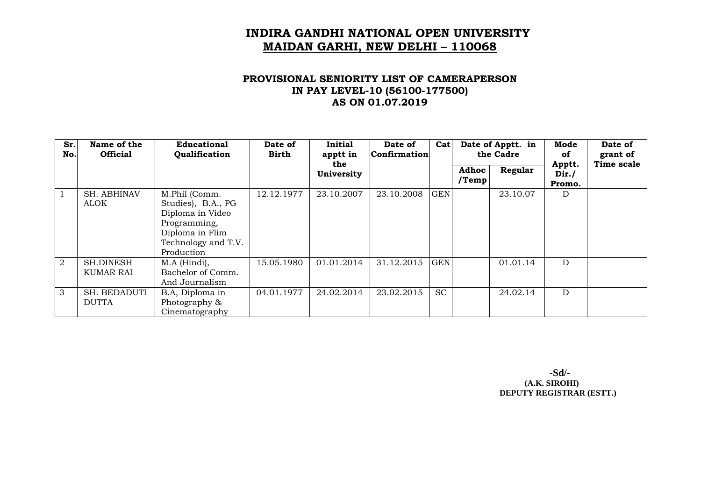### **PROVISIONAL SENIORITY LIST OF CAMERAPERSON IN PAY LEVEL-10 (56100-177500) AS ON 01.07.2019**

| Sr.<br>No. | Name of the<br><b>Official</b> | <b>Educational</b><br>Qualification                                                                                             | Date of<br><b>Birth</b> | <b>Initial</b><br>apptt in<br>the | Date of<br><b>Confirmation</b> | Cat        | Date of Apptt. in<br>the Cadre |          | Mode<br>оf<br>Apptt. | Date of<br>grant of<br>Time scale |
|------------|--------------------------------|---------------------------------------------------------------------------------------------------------------------------------|-------------------------|-----------------------------------|--------------------------------|------------|--------------------------------|----------|----------------------|-----------------------------------|
|            |                                |                                                                                                                                 |                         | University                        |                                |            | <b>Adhoc</b><br>$/$ Temp       | Regular  | Dir. /<br>Promo.     |                                   |
|            | <b>SH. ABHINAV</b><br>ALOK     | M.Phil (Comm.<br>Studies), B.A., PG<br>Diploma in Video<br>Programming,<br>Diploma in Flim<br>Technology and T.V.<br>Production | 12.12.1977              | 23.10.2007                        | 23.10.2008                     | <b>GEN</b> |                                | 23.10.07 | D                    |                                   |
| 2          | <b>SH.DINESH</b><br>KUMAR RAI  | M.A (Hindi),<br>Bachelor of Comm.<br>And Journalism                                                                             | 15.05.1980              | 01.01.2014                        | 31.12.2015                     | <b>GEN</b> |                                | 01.01.14 | D                    |                                   |
| 3          | SH. BEDADUTI<br><b>DUTTA</b>   | B.A, Diploma in<br>Photography &<br>Cinematography                                                                              | 04.01.1977              | 24.02.2014                        | 23.02.2015                     | <b>SC</b>  |                                | 24.02.14 | D                    |                                   |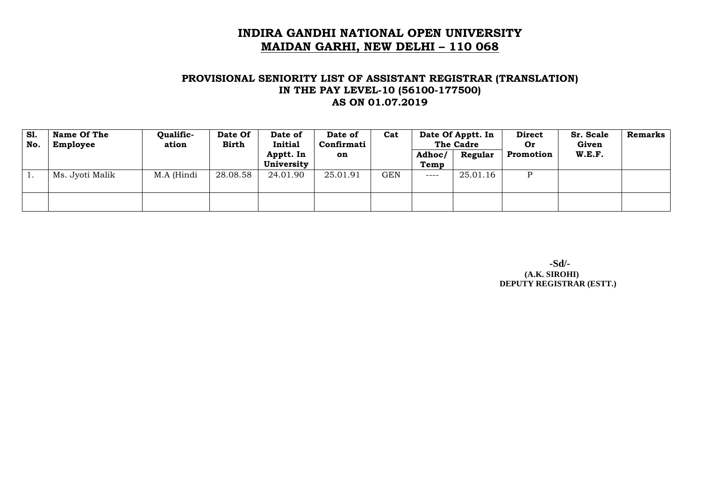#### **PROVISIONAL SENIORITY LIST OF ASSISTANT REGISTRAR (TRANSLATION) IN THE PAY LEVEL-10 (56100-177500) AS ON 01.07.2019**

| S1.<br>No. | Name Of The<br>Employee | Qualific-<br>ation | Date Of<br><b>Birth</b> | Date of<br>Initial      | Date of<br>Confirmati | Cat |                | Date Of Apptt. In<br>The Cadre |           | Sr. Scale<br>Given | <b>Remarks</b> |
|------------|-------------------------|--------------------|-------------------------|-------------------------|-----------------------|-----|----------------|--------------------------------|-----------|--------------------|----------------|
|            |                         |                    |                         | Apptt. In<br>University | <b>on</b>             |     | Adhoc/<br>Temp | Regular                        | Promotion | W.E.F.             |                |
|            | Ms. Jyoti Malik         | M.A (Hindi         | 28.08.58                | 24.01.90                | 25.01.91              | GEN | $---$          | 25.01.16                       | P         |                    |                |
|            |                         |                    |                         |                         |                       |     |                |                                |           |                    |                |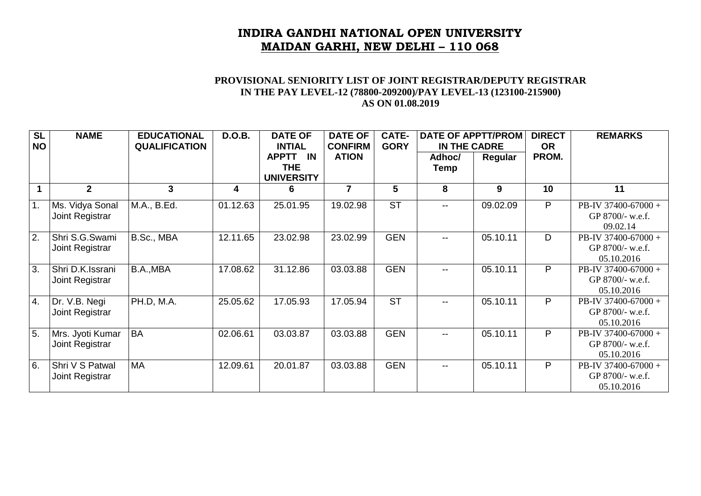#### **PROVISIONAL SENIORITY LIST OF JOINT REGISTRAR/DEPUTY REGISTRAR IN THE PAY LEVEL-12 (78800-209200)/PAY LEVEL-13 (123100-215900) AS ON 01.08.2019**

| SL               | <b>NAME</b>                         | <b>EDUCATIONAL</b>   | <b>D.O.B.</b> | <b>DATE OF</b>                             | <b>DATE OF</b>                 | CATE-                  | <b>DATE OF APPTT/PROM</b> |          | <b>DIRECT</b>      | <b>REMARKS</b>                                        |
|------------------|-------------------------------------|----------------------|---------------|--------------------------------------------|--------------------------------|------------------------|---------------------------|----------|--------------------|-------------------------------------------------------|
| <b>NO</b>        |                                     | <b>QUALIFICATION</b> |               | <b>INTIAL</b><br><b>APPTT</b><br><b>IN</b> | <b>CONFIRM</b><br><b>ATION</b> | <b>GORY</b>            | IN THE CADRE<br>Adhoc/    | Regular  | <b>OR</b><br>PROM. |                                                       |
|                  |                                     |                      |               | <b>THE</b><br><b>UNIVERSITY</b>            |                                |                        | Temp                      |          |                    |                                                       |
|                  | $\mathbf{2}$                        | 3                    | 4             | 6                                          | 7                              | 5                      | 8                         | 9        | 10                 | 11                                                    |
| $\overline{1}$ . | Ms. Vidya Sonal<br>Joint Registrar  | M.A., B.Ed.          | 01.12.63      | 25.01.95                                   | 19.02.98                       | $\overline{\text{ST}}$ | $-$                       | 09.02.09 | P                  | PB-IV 37400-67000 +<br>GP 8700/- w.e.f.<br>09.02.14   |
| $\overline{2}$ . | Shri S.G.Swami<br>Joint Registrar   | B.Sc., MBA           | 12.11.65      | 23.02.98                                   | 23.02.99                       | <b>GEN</b>             | $\overline{\phantom{a}}$  | 05.10.11 | D                  | PB-IV 37400-67000 +<br>GP 8700/- w.e.f.<br>05.10.2016 |
| $\overline{3}$ . | Shri D.K.Issrani<br>Joint Registrar | B.A., MBA            | 17.08.62      | 31.12.86                                   | 03.03.88                       | <b>GEN</b>             | $-$                       | 05.10.11 | P                  | PB-IV 37400-67000 +<br>GP 8700/- w.e.f.<br>05.10.2016 |
| $\overline{4}$ . | Dr. V.B. Negi<br>Joint Registrar    | PH.D, M.A.           | 25.05.62      | 17.05.93                                   | 17.05.94                       | <b>ST</b>              | $\overline{\phantom{m}}$  | 05.10.11 | P                  | PB-IV 37400-67000 +<br>GP 8700/- w.e.f.<br>05.10.2016 |
| $\overline{5}$ . | Mrs. Jyoti Kumar<br>Joint Registrar | <b>BA</b>            | 02.06.61      | 03.03.87                                   | 03.03.88                       | <b>GEN</b>             | $-$                       | 05.10.11 | P                  | PB-IV 37400-67000 +<br>GP 8700/- w.e.f.<br>05.10.2016 |
| $\overline{6}$ . | Shri V S Patwal<br>Joint Registrar  | MA                   | 12.09.61      | 20.01.87                                   | 03.03.88                       | <b>GEN</b>             | $- -$                     | 05.10.11 | P                  | PB-IV 37400-67000 +<br>GP 8700/- w.e.f.<br>05.10.2016 |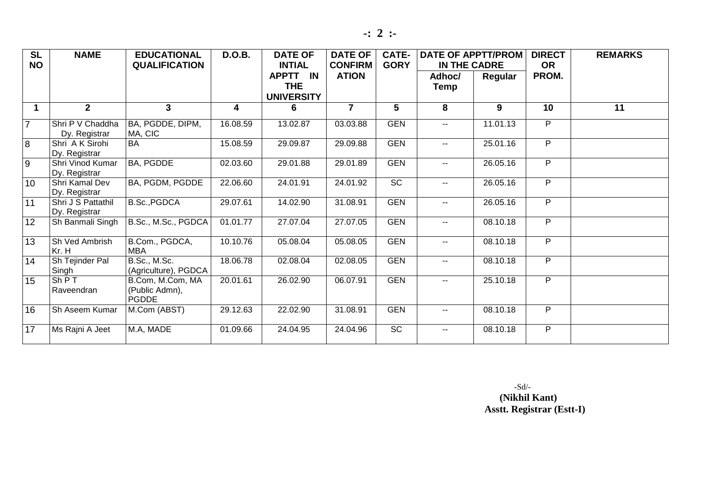|--|--|--|--|

| <b>SL</b><br><b>NO</b> | <b>NAME</b>                         | <b>EDUCATIONAL</b><br><b>QUALIFICATION</b>         | <b>D.O.B.</b>           | <b>DATE OF</b><br><b>INTIAL</b><br>APPTT IN | <b>DATE OF</b><br><b>CONFIRM</b><br><b>ATION</b> | <b>CATE-</b><br><b>GORY</b> | <b>DATE OF APPTT/PROM</b><br>IN THE CADRE<br>Adhoc/ | Regular  | <b>DIRECT</b><br><b>OR</b><br>PROM. | <b>REMARKS</b> |
|------------------------|-------------------------------------|----------------------------------------------------|-------------------------|---------------------------------------------|--------------------------------------------------|-----------------------------|-----------------------------------------------------|----------|-------------------------------------|----------------|
|                        |                                     |                                                    |                         | <b>THE</b><br><b>UNIVERSITY</b>             |                                                  |                             | Temp                                                |          |                                     |                |
| $\mathbf 1$            | $\overline{2}$                      | 3 <sup>1</sup>                                     | $\overline{\mathbf{4}}$ | 6                                           | $\overline{7}$                                   | 5                           | 8                                                   | 9        | 10                                  | 11             |
| $\overline{7}$         | Shri P V Chaddha<br>Dy. Registrar   | BA, PGDDE, DIPM,<br>MA, CIC                        | 16.08.59                | 13.02.87                                    | 03.03.88                                         | <b>GEN</b>                  | $-$                                                 | 11.01.13 | P                                   |                |
| $\overline{8}$         | Shri A K Sirohi<br>Dy. Registrar    | BA                                                 | 15.08.59                | 29.09.87                                    | 29.09.88                                         | <b>GEN</b>                  | $\qquad \qquad -$                                   | 25.01.16 | P                                   |                |
| $\overline{9}$         | Shri Vinod Kumar<br>Dy. Registrar   | BA, PGDDE                                          | 02.03.60                | 29.01.88                                    | 29.01.89                                         | <b>GEN</b>                  | $\overline{\phantom{a}}$                            | 26.05.16 | $\overline{P}$                      |                |
| 10                     | Shri Kamal Dev<br>Dy. Registrar     | BA, PGDM, PGDDE                                    | 22.06.60                | 24.01.91                                    | 24.01.92                                         | <b>SC</b>                   | $\overline{\phantom{a}}$                            | 26.05.16 | P                                   |                |
| 11                     | Shri J S Pattathil<br>Dy. Registrar | B.Sc., PGDCA                                       | 29.07.61                | 14.02.90                                    | 31.08.91                                         | <b>GEN</b>                  |                                                     | 26.05.16 | P                                   |                |
| 12                     | Sh Banmali Singh                    | B.Sc., M.Sc., PGDCA                                | 01.01.77                | 27.07.04                                    | 27.07.05                                         | <b>GEN</b>                  | $- -$                                               | 08.10.18 | $\overline{P}$                      |                |
| 13                     | Sh Ved Ambrish<br>Kr. H             | B.Com., PGDCA,<br><b>MBA</b>                       | 10.10.76                | 05.08.04                                    | 05.08.05                                         | <b>GEN</b>                  |                                                     | 08.10.18 | P                                   |                |
| 14                     | Sh Tejinder Pal<br>Singh            | B.Sc., M.Sc.<br>(Agriculture), PGDCA               | 18.06.78                | 02.08.04                                    | 02.08.05                                         | <b>GEN</b>                  |                                                     | 08.10.18 | P                                   |                |
| 15                     | ShPT<br>Raveendran                  | B.Com, M.Com, MA<br>(Public Admn),<br><b>PGDDE</b> | 20.01.61                | 26.02.90                                    | 06.07.91                                         | <b>GEN</b>                  |                                                     | 25.10.18 | P                                   |                |
| 16                     | Sh Aseem Kumar                      | M.Com (ABST)                                       | 29.12.63                | 22.02.90                                    | 31.08.91                                         | <b>GEN</b>                  | $\overline{\phantom{a}}$                            | 08.10.18 | P                                   |                |
| 17                     | Ms Rajni A Jeet                     | M.A, MADE                                          | 01.09.66                | 24.04.95                                    | 24.04.96                                         | <b>SC</b>                   | --                                                  | 08.10.18 | P                                   |                |

 -Sd/- **(Nikhil Kant) Asstt. Registrar (Estt-I)**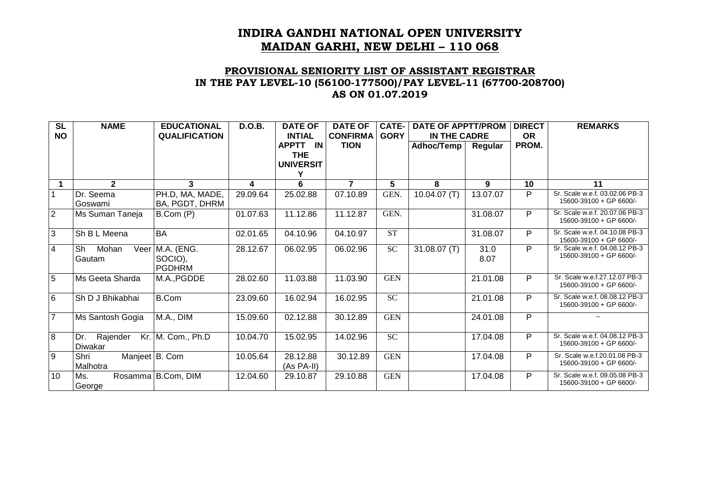### **PROVISIONAL SENIORITY LIST OF ASSISTANT REGISTRAR IN THE PAY LEVEL-10 (56100-177500)/PAY LEVEL-11 (67700-208700) AS ON 01.07.2019**

| $\overline{\text{SL}}$<br><b>NO</b> | <b>NAME</b>                        | <b>EDUCATIONAL</b><br><b>QUALIFICATION</b> | <b>D.O.B.</b> | <b>DATE OF</b><br><b>INTIAL</b> | <b>DATE OF</b><br><b>CONFIRMA</b> | $CATE-$<br><b>GORY</b> | <b>DATE OF APPTT/PROM</b><br>IN THE CADRE |              | <b>DIRECT</b><br><b>OR</b> | <b>REMARKS</b>                                            |
|-------------------------------------|------------------------------------|--------------------------------------------|---------------|---------------------------------|-----------------------------------|------------------------|-------------------------------------------|--------------|----------------------------|-----------------------------------------------------------|
|                                     |                                    |                                            |               | <b>APPTT</b><br>IN              | <b>TION</b>                       |                        | Adhoc/Temp                                | Regular      | PROM.                      |                                                           |
|                                     |                                    |                                            |               | <b>THE</b><br><b>UNIVERSIT</b>  |                                   |                        |                                           |              |                            |                                                           |
| 1                                   | $\overline{2}$                     | 3                                          | 4             | 6                               | $\overline{7}$                    | 5                      | 8                                         | 9            | 10                         | 11                                                        |
|                                     | Dr. Seema<br>Goswami               | PH.D, MA, MADE,<br>BA, PGDT, DHRM          | 29.09.64      | 25.02.88                        | 07.10.89                          | GEN.                   | 10.04.07(T)                               | 13.07.07     | P                          | Sr. Scale w.e.f. 03.02.06 PB-3<br>15600-39100 + GP 6600/- |
| $\overline{2}$                      | Ms Suman Taneja                    | B.Com (P)                                  | 01.07.63      | 11.12.86                        | 11.12.87                          | GEN.                   |                                           | 31.08.07     | P                          | Sr. Scale w.e.f. 20.07.06 PB-3<br>15600-39100 + GP 6600/- |
| 3                                   | Sh B L Meena                       | <b>BA</b>                                  | 02.01.65      | 04.10.96                        | 04.10.97                          | <b>ST</b>              |                                           | 31.08.07     | P                          | Sr. Scale w.e.f. 04.10.08 PB-3<br>15600-39100 + GP 6600/- |
| $\overline{4}$                      | Sh<br>Mohan<br>Veer<br>Gautam      | M.A. (ENG.<br>SOCIO),<br><b>PGDHRM</b>     | 28.12.67      | 06.02.95                        | 06.02.96                          | <b>SC</b>              | 31.08.07(T)                               | 31.0<br>8.07 | P                          | Sr. Scale w.e.f. 04.08.12 PB-3<br>15600-39100 + GP 6600/- |
| $\overline{5}$                      | Ms Geeta Sharda                    | M.A., PGDDE                                | 28.02.60      | 11.03.88                        | 11.03.90                          | <b>GEN</b>             |                                           | 21.01.08     | P                          | Sr. Scale w.e.f.27.12.07 PB-3<br>15600-39100 + GP 6600/-  |
| $\overline{6}$                      | Sh D J Bhikabhai                   | B.Com                                      | 23.09.60      | 16.02.94                        | 16.02.95                          | $\overline{SC}$        |                                           | 21.01.08     | P                          | Sr. Scale w.e.f. 08.08.12 PB-3<br>15600-39100 + GP 6600/- |
| $\overline{7}$                      | Ms Santosh Gogia                   | M.A., DIM                                  | 15.09.60      | 02.12.88                        | 30.12.89                          | <b>GEN</b>             |                                           | 24.01.08     | P                          | $\sim$                                                    |
| $\overline{8}$                      | Rajender<br>Dr.<br>Diwakar         | Kr. M. Com., Ph.D                          | 10.04.70      | 15.02.95                        | 14.02.96                          | <b>SC</b>              |                                           | 17.04.08     | P                          | Sr. Scale w.e.f. 04.08.12 PB-3<br>15600-39100 + GP 6600/- |
| 9                                   | Shri<br>Manjeet B. Com<br>Malhotra |                                            | 10.05.64      | 28.12.88<br>(As PA-II)          | 30.12.89                          | <b>GEN</b>             |                                           | 17.04.08     | P                          | Sr. Scale w.e.f.20.01.08 PB-3<br>15600-39100 + GP 6600/-  |
| 10                                  | Ms.<br>George                      | Rosamma B.Com, DIM                         | 12.04.60      | 29.10.87                        | 29.10.88                          | <b>GEN</b>             |                                           | 17.04.08     | P                          | Sr. Scale w.e.f. 09.05.08 PB-3<br>15600-39100 + GP 6600/- |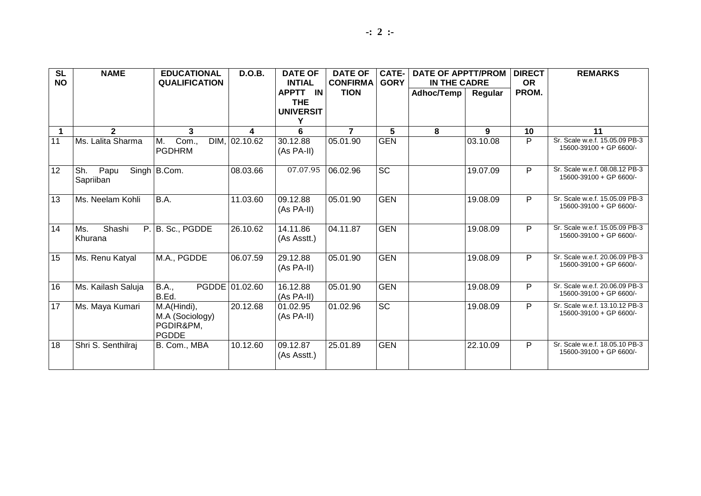| <b>SL</b><br><b>NO</b> | <b>NAME</b>              | <b>EDUCATIONAL</b><br><b>QUALIFICATION</b>                  | <b>D.O.B.</b>  | <b>DATE OF</b><br><b>INTIAL</b>            | <b>DATE OF</b><br><b>CONFIRMA</b> | <b>CATE-</b><br><b>GORY</b> | <b>DATE OF APPTT/PROM</b><br>IN THE CADRE |          | <b>DIRECT</b><br><b>OR</b> | <b>REMARKS</b>                                            |
|------------------------|--------------------------|-------------------------------------------------------------|----------------|--------------------------------------------|-----------------------------------|-----------------------------|-------------------------------------------|----------|----------------------------|-----------------------------------------------------------|
|                        |                          |                                                             |                | APPTT IN<br><b>THE</b><br><b>UNIVERSIT</b> | <b>TION</b>                       |                             | Adhoc/Temp                                | Regular  | PROM.                      |                                                           |
| $\mathbf{1}$           | $\overline{2}$           | 3                                                           | 4              | 6                                          | $\overline{7}$                    | 5                           | 8                                         | 9        | 10                         | 11                                                        |
| 11                     | Ms. Lalita Sharma        | М.<br>Com.,<br><b>PGDHRM</b>                                | DIM, 02.10.62  | 30.12.88<br>(As PA-II)                     | 05.01.90                          | <b>GEN</b>                  |                                           | 03.10.08 | P                          | Sr. Scale w.e.f. 15.05.09 PB-3<br>15600-39100 + GP 6600/- |
| 12                     | Sh.<br>Papu<br>Sapriiban | Singh   B.Com.                                              | 08.03.66       | 07.07.95                                   | 06.02.96                          | <b>SC</b>                   |                                           | 19.07.09 | P                          | Sr. Scale w.e.f. 08.08.12 PB-3<br>15600-39100 + GP 6600/- |
| 13                     | Ms. Neelam Kohli         | B.A.                                                        | 11.03.60       | 09.12.88<br>(As PA-II)                     | 05.01.90                          | <b>GEN</b>                  |                                           | 19.08.09 | P                          | Sr. Scale w.e.f. 15.05.09 PB-3<br>15600-39100 + GP 6600/- |
| 14                     | Ms.<br>Shashi<br>Khurana | P. B. Sc., PGDDE                                            | 26.10.62       | 14.11.86<br>(As Asstt.)                    | 04.11.87                          | <b>GEN</b>                  |                                           | 19.08.09 | P                          | Sr. Scale w.e.f. 15.05.09 PB-3<br>15600-39100 + GP 6600/- |
| 15                     | Ms. Renu Katyal          | M.A., PGDDE                                                 | 06.07.59       | 29.12.88<br>$(As PA-II)$                   | 05.01.90                          | <b>GEN</b>                  |                                           | 19.08.09 | P                          | Sr. Scale w.e.f. 20.06.09 PB-3<br>15600-39100 + GP 6600/- |
| 16                     | Ms. Kailash Saluja       | <b>B.A.,</b><br>B.Ed.                                       | PGDDE 01.02.60 | 16.12.88<br>(As PA-II)                     | 05.01.90                          | <b>GEN</b>                  |                                           | 19.08.09 | P                          | Sr. Scale w.e.f. 20.06.09 PB-3<br>15600-39100 + GP 6600/- |
| 17                     | Ms. Maya Kumari          | M.A(Hindi),<br>M.A (Sociology)<br>PGDIR&PM,<br><b>PGDDE</b> | 20.12.68       | 01.02.95<br>(As PA-II)                     | 01.02.96                          | $\overline{SC}$             |                                           | 19.08.09 | P                          | Sr. Scale w.e.f. 13.10.12 PB-3<br>15600-39100 + GP 6600/- |
| 18                     | Shri S. Senthilraj       | B. Com., MBA                                                | 10.12.60       | 09.12.87<br>(As Asstt.)                    | 25.01.89                          | <b>GEN</b>                  |                                           | 22.10.09 | P                          | Sr. Scale w.e.f. 18.05.10 PB-3<br>15600-39100 + GP 6600/- |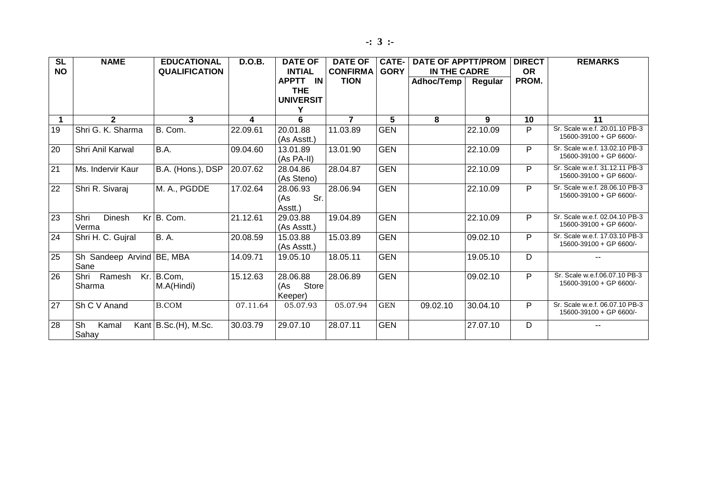| SL<br><b>NO</b> | <b>NAME</b>                       | <b>EDUCATIONAL</b><br><b>QUALIFICATION</b> | <b>D.O.B.</b> | <b>DATE OF</b><br><b>INTIAL</b>     | <b>DATE OF</b><br><b>CONFIRMA</b> | CATE-<br><b>GORY</b> | <b>DATE OF APPTT/PROM</b><br>IN THE CADRE |          | <b>DIRECT</b><br><b>OR</b> | <b>REMARKS</b>                                            |
|-----------------|-----------------------------------|--------------------------------------------|---------------|-------------------------------------|-----------------------------------|----------------------|-------------------------------------------|----------|----------------------------|-----------------------------------------------------------|
|                 |                                   |                                            |               | <b>APPTT</b><br>IN                  | <b>TION</b>                       |                      | Adhoc/Temp                                | Regular  | PROM.                      |                                                           |
|                 |                                   |                                            |               | <b>THE</b>                          |                                   |                      |                                           |          |                            |                                                           |
|                 |                                   |                                            |               | <b>UNIVERSIT</b>                    |                                   |                      |                                           |          |                            |                                                           |
|                 |                                   |                                            |               | Y                                   |                                   |                      |                                           |          |                            |                                                           |
| $\mathbf 1$     | $\mathbf{2}$                      | 3                                          | 4             | 6                                   | $\overline{7}$                    | 5                    | 8                                         | 9        | 10                         | 11                                                        |
| 19              | Shri G. K. Sharma                 | B. Com.                                    | 22.09.61      | 20.01.88<br>(As Asstt.)             | 11.03.89                          | <b>GEN</b>           |                                           | 22.10.09 | P                          | Sr. Scale w.e.f. 20.01.10 PB-3<br>15600-39100 + GP 6600/- |
| 20              | Shri Anil Karwal                  | B.A.                                       | 09.04.60      | 13.01.89<br>(As PA-II)              | 13.01.90                          | <b>GEN</b>           |                                           | 22.10.09 | P                          | Sr. Scale w.e.f. 13.02.10 PB-3<br>15600-39100 + GP 6600/- |
| $\overline{21}$ | Ms. Indervir Kaur                 | B.A. (Hons.), DSP                          | 20.07.62      | 28.04.86<br>(As Steno)              | 28.04.87                          | <b>GEN</b>           |                                           | 22.10.09 | P                          | Sr. Scale w.e.f. 31.12.11 PB-3<br>15600-39100 + GP 6600/- |
| 22              | Shri R. Sivaraj                   | M. A., PGDDE                               | 17.02.64      | 28.06.93<br>Sr.<br>(As<br>Asstt.)   | 28.06.94                          | <b>GEN</b>           |                                           | 22.10.09 | P                          | Sr. Scale w.e.f. 28.06.10 PB-3<br>15600-39100 + GP 6600/- |
| 23              | Shri<br>Dinesh<br>Verma           | $Kr$ B. Com.                               | 21.12.61      | 29.03.88<br>(As Asstt.)             | 19.04.89                          | <b>GEN</b>           |                                           | 22.10.09 | P                          | Sr. Scale w.e.f. 02.04.10 PB-3<br>15600-39100 + GP 6600/- |
| 24              | Shri H. C. Gujral                 | <b>B.A.</b>                                | 20.08.59      | 15.03.88<br>(As Asstt.)             | 15.03.89                          | <b>GEN</b>           |                                           | 09.02.10 | P                          | Sr. Scale w.e.f. 17.03.10 PB-3<br>15600-39100 + GP 6600/- |
| 25              | Sh Sandeep Arvind BE, MBA<br>Sane |                                            | 14.09.71      | 19.05.10                            | 18.05.11                          | <b>GEN</b>           |                                           | 19.05.10 | D                          | $-$                                                       |
| 26              | Ramesh<br>Shri<br>Sharma          | $Kr.$ B.Com,<br>M.A(Hindi)                 | 15.12.63      | 28.06.88<br>Store<br>(As<br>Keeper) | 28.06.89                          | <b>GEN</b>           |                                           | 09.02.10 | P                          | Sr. Scale w.e.f.06.07.10 PB-3<br>15600-39100 + GP 6600/-  |
| 27              | Sh C V Anand                      | <b>B.COM</b>                               | 07.11.64      | 05.07.93                            | 05.07.94                          | <b>GEN</b>           | 09.02.10                                  | 30.04.10 | P                          | Sr. Scale w.e.f. 06.07.10 PB-3<br>15600-39100 + GP 6600/- |
| 28              | Sh<br>Kamal<br>Sahay              | Kant $B.Sc.(H)$ , M.Sc.                    | 30.03.79      | 29.07.10                            | 28.07.11                          | <b>GEN</b>           |                                           | 27.07.10 | D                          | $-$                                                       |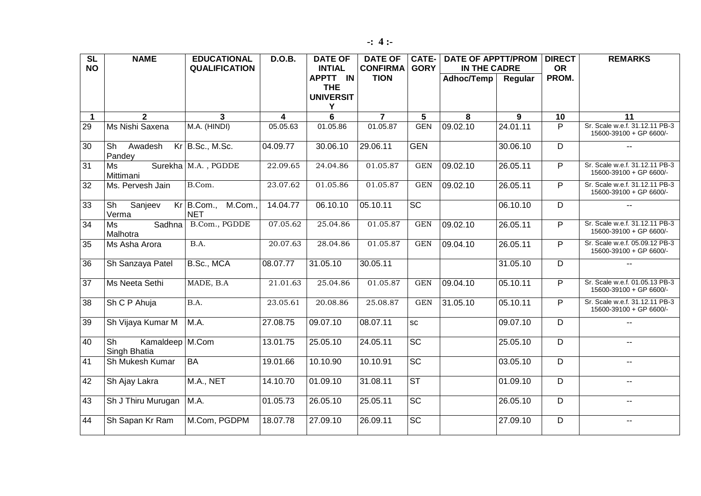| $\overline{\text{SL}}$ | <b>NAME</b>                                                 | <b>EDUCATIONAL</b>                    | <b>D.O.B.</b> | <b>DATE OF</b>                      | <b>DATE OF</b>                 | $CATE-$                | <b>DATE OF APPTT/PROM</b>  |          | <b>DIRECT</b>      | <b>REMARKS</b>                                            |
|------------------------|-------------------------------------------------------------|---------------------------------------|---------------|-------------------------------------|--------------------------------|------------------------|----------------------------|----------|--------------------|-----------------------------------------------------------|
| <b>NO</b>              |                                                             | <b>QUALIFICATION</b>                  |               | <b>INTIAL</b><br>APPTT IN           | <b>CONFIRMA</b><br><b>TION</b> | <b>GORY</b>            | IN THE CADRE<br>Adhoc/Temp |          | <b>OR</b><br>PROM. |                                                           |
|                        |                                                             |                                       |               | <b>THE</b><br><b>UNIVERSIT</b><br>Υ |                                |                        |                            | Regular  |                    |                                                           |
| $\blacktriangleleft$   | $\overline{2}$                                              | $\mathbf{3}$                          | 4             | $\overline{6}$                      | $\overline{7}$                 | $\overline{5}$         | 8                          | 9        | 10                 | 11                                                        |
| 29                     | Ms Nishi Saxena                                             | M.A. (HINDI)                          | 05.05.63      | 01.05.86                            | 01.05.87                       | <b>GEN</b>             | 09.02.10                   | 24.01.11 | P                  | Sr. Scale w.e.f. 31.12.11 PB-3<br>15600-39100 + GP 6600/- |
| 30                     | $\overline{\mathsf{Sh}}$<br>Awadesh<br>Pandey               | Kr B.Sc., M.Sc.                       | 04.09.77      | 30.06.10                            | 29.06.11                       | <b>GEN</b>             |                            | 30.06.10 | $\overline{D}$     | $\mathbf{L}$                                              |
| 31                     | Ms<br>Mittimani                                             | Surekha M.A., PGDDE                   | 22.09.65      | 24.04.86                            | 01.05.87                       | $\operatorname{GEN}$   | 09.02.10                   | 26.05.11 | $\overline{P}$     | Sr. Scale w.e.f. 31.12.11 PB-3<br>15600-39100 + GP 6600/- |
| 32                     | Ms. Pervesh Jain                                            | B.Com.                                | 23.07.62      | 01.05.86                            | 01.05.87                       | <b>GEN</b>             | 09.02.10                   | 26.05.11 | P                  | Sr. Scale w.e.f. 31.12.11 PB-3<br>15600-39100 + GP 6600/- |
| 33                     | $\overline{\mathsf{Sh}}$<br>Sanjeev<br>Verma                | M.Com.,<br>$Kr$ B.Com.,<br><b>NET</b> | 14.04.77      | 06.10.10                            | 05.10.11                       | $\overline{SC}$        |                            | 06.10.10 | $\overline{D}$     |                                                           |
| 34                     | <b>Sadhna</b><br>Ms<br>Malhotra                             | B.Com., PGDDE                         | 07.05.62      | 25.04.86                            | 01.05.87                       | <b>GEN</b>             | 09.02.10                   | 26.05.11 | $\overline{P}$     | Sr. Scale w.e.f. 31.12.11 PB-3<br>15600-39100 + GP 6600/- |
| 35                     | Ms Asha Arora                                               | B.A.                                  | 20.07.63      | 28.04.86                            | 01.05.87                       | <b>GEN</b>             | 09.04.10                   | 26.05.11 | P                  | Sr. Scale w.e.f. 05.09.12 PB-3<br>15600-39100 + GP 6600/- |
| $\overline{36}$        | Sh Sanzaya Patel                                            | B.Sc., MCA                            | 08.07.77      | 31.05.10                            | 30.05.11                       |                        |                            | 31.05.10 | D                  | $\overline{\phantom{a}}$                                  |
| $\overline{37}$        | Ms Neeta Sethi                                              | MADE, B.A                             | 21.01.63      | 25.04.86                            | 01.05.87                       | <b>GEN</b>             | 09.04.10                   | 05.10.11 | $\overline{P}$     | Sr. Scale w.e.f. 01.05.13 PB-3<br>15600-39100 + GP 6600/- |
| $\overline{38}$        | Sh C P Ahuja                                                | B.A.                                  | 23.05.61      | 20.08.86                            | 25.08.87                       | <b>GEN</b>             | 31.05.10                   | 05.10.11 | $\overline{P}$     | Sr. Scale w.e.f. 31.12.11 PB-3<br>15600-39100 + GP 6600/- |
| 39                     | Sh Vijaya Kumar M                                           | M.A.                                  | 27.08.75      | 09.07.10                            | 08.07.11                       | <b>SC</b>              |                            | 09.07.10 | D                  | $-$                                                       |
| 40                     | $\overline{\mathsf{Sh}}$<br>Kamaldeep M.Com<br>Singh Bhatia |                                       | 13.01.75      | 25.05.10                            | 24.05.11                       | $\overline{SC}$        |                            | 25.05.10 | D                  | $\overline{\phantom{a}}$                                  |
| 41                     | Sh Mukesh Kumar                                             | <b>BA</b>                             | 19.01.66      | 10.10.90                            | 10.10.91                       | $\overline{SC}$        |                            | 03.05.10 | D                  | $\overline{\phantom{a}}$                                  |
| 42                     | Sh Ajay Lakra                                               | $M.A.,$ NET                           | 14.10.70      | 01.09.10                            | 31.08.11                       | $\overline{\text{ST}}$ |                            | 01.09.10 | $\overline{D}$     | $\overline{\phantom{a}}$                                  |
| $\overline{43}$        | Sh J Thiru Murugan                                          | M.A.                                  | 01.05.73      | 26.05.10                            | 25.05.11                       | $\overline{SC}$        |                            | 26.05.10 | $\overline{D}$     | $\overline{\phantom{a}}$                                  |
| $\overline{44}$        | Sh Sapan Kr Ram                                             | M.Com, PGDPM                          | 18.07.78      | 27.09.10                            | 26.09.11                       | $\overline{SC}$        |                            | 27.09.10 | $\overline{D}$     | н.                                                        |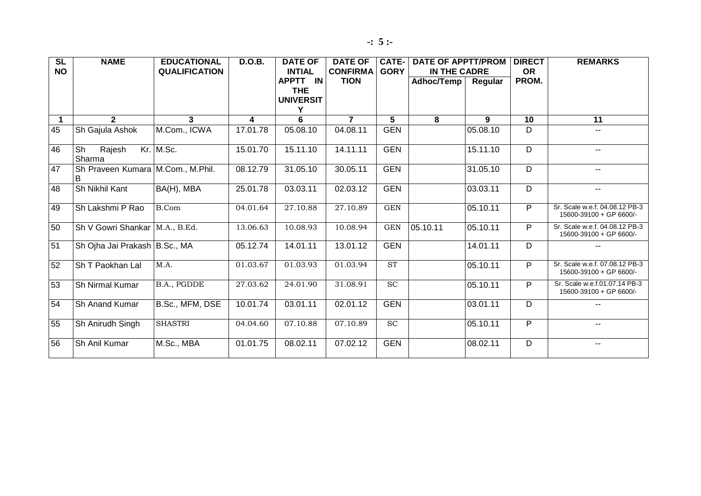| $\overline{\text{SL}}$<br><b>NO</b> | <b>NAME</b>                            | <b>EDUCATIONAL</b><br><b>QUALIFICATION</b> | <b>D.O.B.</b> | <b>DATE OF</b><br><b>INTIAL</b> | <b>DATE OF</b><br><b>CONFIRMA</b> | <b>CATE-1</b><br><b>GORY</b> | <b>DATE OF APPTT/PROM</b><br>IN THE CADRE |          | <b>DIRECT</b><br><b>OR</b> | <b>REMARKS</b>                                            |
|-------------------------------------|----------------------------------------|--------------------------------------------|---------------|---------------------------------|-----------------------------------|------------------------------|-------------------------------------------|----------|----------------------------|-----------------------------------------------------------|
|                                     |                                        |                                            |               | APPTT IN                        | <b>TION</b>                       |                              | Adhoc/Temp                                | Regular  | PROM.                      |                                                           |
|                                     |                                        |                                            |               | <b>THE</b>                      |                                   |                              |                                           |          |                            |                                                           |
|                                     |                                        |                                            |               | <b>UNIVERSIT</b><br>Y           |                                   |                              |                                           |          |                            |                                                           |
| $\mathbf 1$                         | $\mathbf{2}$                           | 3                                          | 4             | 6                               | $\overline{7}$                    | 5                            | 8                                         | 9        | 10                         | 11                                                        |
| 45                                  | Sh Gajula Ashok                        | M.Com., ICWA                               | 17.01.78      | 05.08.10                        | 04.08.11                          | <b>GEN</b>                   |                                           | 05.08.10 | D                          | $\mathbf{u}$                                              |
| 46                                  | Sh<br>Rajesh<br>Sharma                 | Kr. M.Sc.                                  | 15.01.70      | 15.11.10                        | 14.11.11                          | <b>GEN</b>                   |                                           | 15.11.10 | $\overline{D}$             | --                                                        |
| 47                                  | Sh Praveen Kumara M.Com., M.Phil.<br>B |                                            | 08.12.79      | 31.05.10                        | 30.05.11                          | <b>GEN</b>                   |                                           | 31.05.10 | $\overline{D}$             | --                                                        |
| 48                                  | Sh Nikhil Kant                         | BA(H), MBA                                 | 25.01.78      | 03.03.11                        | 02.03.12                          | <b>GEN</b>                   |                                           | 03.03.11 | D                          | $\overline{a}$                                            |
| 49                                  | Sh Lakshmi P Rao                       | <b>B.Com</b>                               | 04.01.64      | 27.10.88                        | 27.10.89                          | <b>GEN</b>                   |                                           | 05.10.11 | $\overline{P}$             | Sr. Scale w.e.f. 04.08.12 PB-3<br>15600-39100 + GP 6600/- |
| 50                                  | Sh V Gowri Shankar   M.A., B.Ed.       |                                            | 13.06.63      | 10.08.93                        | 10.08.94                          | <b>GEN</b>                   | 05.10.11                                  | 05.10.11 | P                          | Sr. Scale w.e.f. 04.08.12 PB-3<br>15600-39100 + GP 6600/- |
| 51                                  | Sh Ojha Jai Prakash   B.Sc., MA        |                                            | 05.12.74      | 14.01.11                        | 13.01.12                          | <b>GEN</b>                   |                                           | 14.01.11 | D                          |                                                           |
| 52                                  | Sh T Paokhan Lal                       | M.A.                                       | 01.03.67      | 01.03.93                        | 01.03.94                          | <b>ST</b>                    |                                           | 05.10.11 | $\overline{P}$             | Sr. Scale w.e.f. 07.08.12 PB-3<br>15600-39100 + GP 6600/- |
| 53                                  | Sh Nirmal Kumar                        | B.A., PGDDE                                | 27.03.62      | 24.01.90                        | 31.08.91                          | SC                           |                                           | 05.10.11 | $\overline{P}$             | Sr. Scale w.e.f.01.07.14 PB-3<br>15600-39100 + GP 6600/-  |
| 54                                  | Sh Anand Kumar                         | B.Sc., MFM, DSE                            | 10.01.74      | 03.01.11                        | 02.01.12                          | <b>GEN</b>                   |                                           | 03.01.11 | D                          | $- -$                                                     |
| 55                                  | Sh Anirudh Singh                       | <b>SHASTRI</b>                             | 04.04.60      | 07.10.88                        | 07.10.89                          | $\overline{SC}$              |                                           | 05.10.11 | $\overline{P}$             | $- -$                                                     |
| 56                                  | Sh Anil Kumar                          | M.Sc., MBA                                 | 01.01.75      | 08.02.11                        | 07.02.12                          | <b>GEN</b>                   |                                           | 08.02.11 | D                          | --                                                        |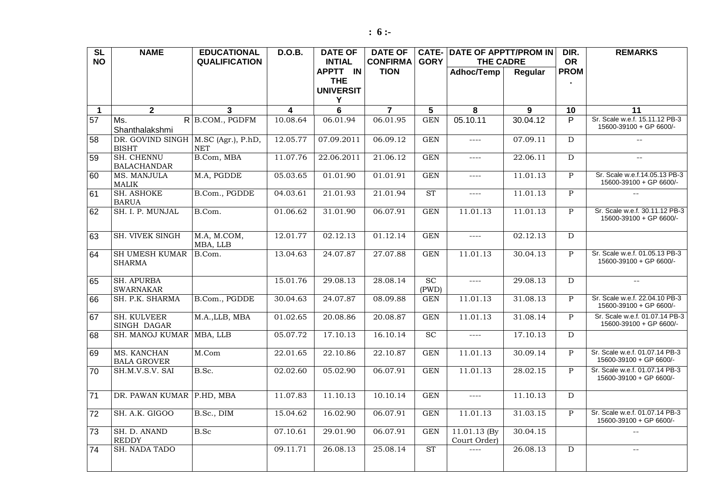| <b>SL</b><br><b>NO</b> | <b>NAME</b>                                           | <b>EDUCATIONAL</b><br><b>QUALIFICATION</b> | <b>D.O.B.</b>           | <b>DATE OF</b><br><b>INTIAL</b> | <b>DATE OF</b><br><b>CONFIRMA</b> | <b>GORY</b> | <b>CATE- DATE OF APPTT/PROM IN</b><br><b>THE CADRE</b>                                                                                                                                                                                                                                                                                                                                       |          | DIR.<br><b>OR</b> | <b>REMARKS</b>                                            |
|------------------------|-------------------------------------------------------|--------------------------------------------|-------------------------|---------------------------------|-----------------------------------|-------------|----------------------------------------------------------------------------------------------------------------------------------------------------------------------------------------------------------------------------------------------------------------------------------------------------------------------------------------------------------------------------------------------|----------|-------------------|-----------------------------------------------------------|
|                        |                                                       |                                            |                         | APPTT IN                        | <b>TION</b>                       |             | Adhoc/Temp                                                                                                                                                                                                                                                                                                                                                                                   | Regular  | <b>PROM</b>       |                                                           |
|                        |                                                       |                                            |                         | <b>THE</b><br><b>UNIVERSIT</b>  |                                   |             |                                                                                                                                                                                                                                                                                                                                                                                              |          |                   |                                                           |
|                        |                                                       |                                            |                         | Υ                               |                                   |             |                                                                                                                                                                                                                                                                                                                                                                                              |          |                   |                                                           |
| $\overline{1}$         | $\overline{2}$                                        | 3                                          | $\overline{\mathbf{4}}$ | $\overline{6}$                  | $\overline{7}$                    | 5           | 8                                                                                                                                                                                                                                                                                                                                                                                            | 9        | 10                | 11                                                        |
| 57                     | Ms.<br>Shanthalakshmi                                 | $R$ B.COM., PGDFM                          | 10.08.64                | 06.01.94                        | 06.01.95                          | <b>GEN</b>  | 05.10.11                                                                                                                                                                                                                                                                                                                                                                                     | 30.04.12 | P                 | Sr. Scale w.e.f. 15.11.12 PB-3<br>15600-39100 + GP 6600/- |
| 58                     | DR. GOVIND SINGH   M.SC (Agr.), P.hD,<br><b>BISHT</b> | <b>NET</b>                                 | 12.05.77                | 07.09.2011                      | 06.09.12                          | <b>GEN</b>  | $\cdots$                                                                                                                                                                                                                                                                                                                                                                                     | 07.09.11 | $\overline{D}$    | $\sim$ $\sim$                                             |
| 59                     | <b>SH. CHENNU</b><br><b>BALACHANDAR</b>               | B.Com, MBA                                 | 11.07.76                | 22.06.2011                      | 21.06.12                          | <b>GEN</b>  | $\qquad \qquad - - -$                                                                                                                                                                                                                                                                                                                                                                        | 22.06.11 | D                 | $\sim$ $\sim$                                             |
| 60                     | MS. MANJULA<br><b>MALIK</b>                           | M.A, PGDDE                                 | 05.03.65                | 01.01.90                        | 01.01.91                          | <b>GEN</b>  | $\frac{1}{2}$                                                                                                                                                                                                                                                                                                                                                                                | 11.01.13 | $\mathsf{P}$      | Sr. Scale w.e.f.14.05.13 PB-3<br>15600-39100 + GP 6600/-  |
| 61                     | <b>SH. ASHOKE</b><br><b>BARUA</b>                     | B.Com., PGDDE                              | 04.03.61                | 21.01.93                        | 21.01.94                          | <b>ST</b>   | $\frac{1}{2}$                                                                                                                                                                                                                                                                                                                                                                                | 11.01.13 | $\overline{P}$    | $\mathbf{u} = \mathbf{v}$                                 |
| 62                     | SH. I. P. MUNJAL                                      | B.Com.                                     | 01.06.62                | 31.01.90                        | 06.07.91                          | <b>GEN</b>  | 11.01.13                                                                                                                                                                                                                                                                                                                                                                                     | 11.01.13 | $\mathbf{P}$      | Sr. Scale w.e.f. 30.11.12 PB-3<br>15600-39100 + GP 6600/- |
| 63                     | SH. VIVEK SINGH                                       | M.A, M.COM,<br>MBA, LLB                    | 12.01.77                | 02.12.13                        | 01.12.14                          | <b>GEN</b>  | $\frac{1}{2}$                                                                                                                                                                                                                                                                                                                                                                                | 02.12.13 | D                 |                                                           |
| 64                     | <b>SH UMESH KUMAR</b><br><b>SHARMA</b>                | B.Com.                                     | 13.04.63                | 24.07.87                        | 27.07.88                          | <b>GEN</b>  | 11.01.13                                                                                                                                                                                                                                                                                                                                                                                     | 30.04.13 | $\mathbf{P}$      | Sr. Scale w.e.f. 01.05.13 PB-3<br>15600-39100 + GP 6600/- |
| 65                     | <b>SH. APURBA</b><br><b>SWARNAKAR</b>                 |                                            | 15.01.76                | 29.08.13                        | 28.08.14                          | SC<br>(PWD) | $\frac{1}{2} \left( \frac{1}{2} \right) \left( \frac{1}{2} \right) \left( \frac{1}{2} \right)$                                                                                                                                                                                                                                                                                               | 29.08.13 | D                 | $\sim$ $\sim$                                             |
| 66                     | SH. P.K. SHARMA                                       | B.Com., PGDDE                              | 30.04.63                | 24.07.87                        | 08.09.88                          | <b>GEN</b>  | 11.01.13                                                                                                                                                                                                                                                                                                                                                                                     | 31.08.13 | $\mathbf{P}$      | Sr. Scale w.e.f. 22.04.10 PB-3<br>15600-39100 + GP 6600/- |
| 67                     | <b>SH. KULVEER</b><br>SINGH DAGAR                     | M.A., LLB, MBA                             | 01.02.65                | 20.08.86                        | 20.08.87                          | <b>GEN</b>  | 11.01.13                                                                                                                                                                                                                                                                                                                                                                                     | 31.08.14 | P                 | Sr. Scale w.e.f. 01.07.14 PB-3<br>15600-39100 + GP 6600/- |
| 68                     | SH. MANOJ KUMAR MBA, LLB                              |                                            | 05.07.72                | 17.10.13                        | 16.10.14                          | SC          | $\frac{1}{2} \frac{1}{2} \frac{1}{2} \frac{1}{2} \frac{1}{2} \frac{1}{2} \frac{1}{2} \frac{1}{2} \frac{1}{2} \frac{1}{2} \frac{1}{2} \frac{1}{2} \frac{1}{2} \frac{1}{2} \frac{1}{2} \frac{1}{2} \frac{1}{2} \frac{1}{2} \frac{1}{2} \frac{1}{2} \frac{1}{2} \frac{1}{2} \frac{1}{2} \frac{1}{2} \frac{1}{2} \frac{1}{2} \frac{1}{2} \frac{1}{2} \frac{1}{2} \frac{1}{2} \frac{1}{2} \frac{$ | 17.10.13 | $\overline{D}$    |                                                           |
| 69                     | MS. KANCHAN<br><b>BALA GROVER</b>                     | M.Com                                      | 22.01.65                | 22.10.86                        | 22.10.87                          | <b>GEN</b>  | 11.01.13                                                                                                                                                                                                                                                                                                                                                                                     | 30.09.14 | P                 | Sr. Scale w.e.f. 01.07.14 PB-3<br>15600-39100 + GP 6600/- |
| 70                     | SH.M.V.S.V. SAI                                       | B.Sc.                                      | 02.02.60                | 05.02.90                        | 06.07.91                          | <b>GEN</b>  | 11.01.13                                                                                                                                                                                                                                                                                                                                                                                     | 28.02.15 | P                 | Sr. Scale w.e.f. 01.07.14 PB-3<br>15600-39100 + GP 6600/- |
| 71                     | DR. PAWAN KUMAR P.HD, MBA                             |                                            | 11.07.83                | 11.10.13                        | 10.10.14                          | <b>GEN</b>  | $\cdots$                                                                                                                                                                                                                                                                                                                                                                                     | 11.10.13 | D                 |                                                           |
| 72                     | SH. A.K. GIGOO                                        | B.Sc., DIM                                 | 15.04.62                | 16.02.90                        | 06.07.91                          | <b>GEN</b>  | 11.01.13                                                                                                                                                                                                                                                                                                                                                                                     | 31.03.15 | $\mathbf{P}$      | Sr. Scale w.e.f. 01.07.14 PB-3<br>15600-39100 + GP 6600/- |
| 73                     | SH. D. ANAND<br><b>REDDY</b>                          | <b>B.Sc</b>                                | 07.10.61                | 29.01.90                        | 06.07.91                          | <b>GEN</b>  | 11.01.13 (By<br>Court Order)                                                                                                                                                                                                                                                                                                                                                                 | 30.04.15 |                   | $-$                                                       |
| $\overline{74}$        | SH. NADA TADO                                         |                                            | 09.11.71                | 26.08.13                        | 25.08.14                          | <b>ST</b>   | $\frac{1}{2}$                                                                                                                                                                                                                                                                                                                                                                                | 26.08.13 | $\overline{D}$    | $-$                                                       |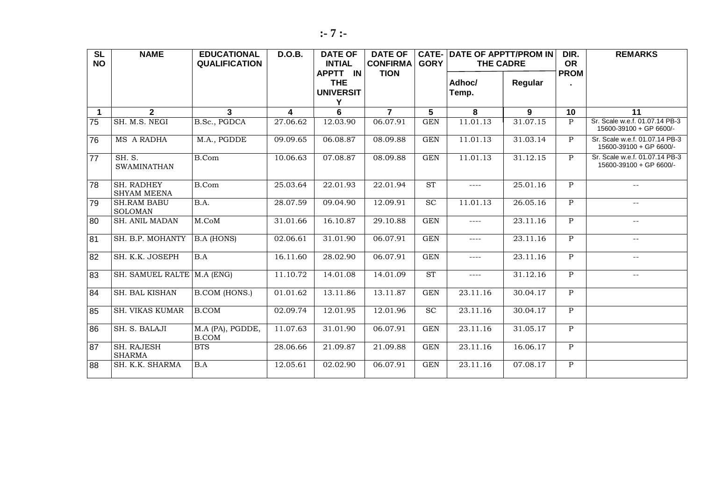| <b>SL</b>            | <b>NAME</b>                             | <b>EDUCATIONAL</b>               | <b>D.O.B.</b> | <b>DATE OF</b>                      | <b>DATE OF</b>                 |                         | <b>CATE- DATE OF APPTT/PROM IN</b>                                                                                                                                                                                                                                                                                                                                                           |          | DIR.                     | <b>REMARKS</b>                                            |
|----------------------|-----------------------------------------|----------------------------------|---------------|-------------------------------------|--------------------------------|-------------------------|----------------------------------------------------------------------------------------------------------------------------------------------------------------------------------------------------------------------------------------------------------------------------------------------------------------------------------------------------------------------------------------------|----------|--------------------------|-----------------------------------------------------------|
| <b>NO</b>            |                                         | <b>QUALIFICATION</b>             |               | <b>INTIAL</b><br>APPTT IN           | <b>CONFIRMA</b><br><b>TION</b> | <b>GORY</b>             | <b>THE CADRE</b>                                                                                                                                                                                                                                                                                                                                                                             |          | <b>OR</b><br><b>PROM</b> |                                                           |
|                      |                                         |                                  |               | <b>THE</b><br><b>UNIVERSIT</b><br>Y |                                |                         | Adhoc/<br>Temp.                                                                                                                                                                                                                                                                                                                                                                              | Regular  |                          |                                                           |
| $\blacktriangleleft$ | $\overline{2}$                          | 3                                | 4             | 6                                   | $\overline{7}$                 | 5                       | 8                                                                                                                                                                                                                                                                                                                                                                                            | 9        | 10                       | 11                                                        |
| 75                   | SH. M.S. NEGI                           | B.Sc., PGDCA                     | 27.06.62      | 12.03.90                            | 06.07.91                       | <b>GEN</b>              | 11.01.13                                                                                                                                                                                                                                                                                                                                                                                     | 31.07.15 | $\mathsf{P}$             | Sr. Scale w.e.f. 01.07.14 PB-3<br>15600-39100 + GP 6600/- |
| 76                   | MS A RADHA                              | M.A., PGDDE                      | 09.09.65      | 06.08.87                            | 08.09.88                       | $\overline{\text{GEN}}$ | 11.01.13                                                                                                                                                                                                                                                                                                                                                                                     | 31.03.14 | $\mathbf{P}$             | Sr. Scale w.e.f. 01.07.14 PB-3<br>15600-39100 + GP 6600/- |
| 77                   | <b>SH. S.</b><br><b>SWAMINATHAN</b>     | B.Com                            | 10.06.63      | 07.08.87                            | 08.09.88                       | <b>GEN</b>              | 11.01.13                                                                                                                                                                                                                                                                                                                                                                                     | 31.12.15 | $\mathbf{P}$             | Sr. Scale w.e.f. 01.07.14 PB-3<br>15600-39100 + GP 6600/- |
| 78                   | <b>SH. RADHEY</b><br><b>SHYAM MEENA</b> | <b>B.Com</b>                     | 25.03.64      | 22.01.93                            | 22.01.94                       | $\overline{\text{ST}}$  | $\frac{1}{2}$                                                                                                                                                                                                                                                                                                                                                                                | 25.01.16 | P                        | $\mathcal{L} = \mathcal{L}$                               |
| 79                   | <b>SH.RAM BABU</b><br><b>SOLOMAN</b>    | B.A.                             | 28.07.59      | 09.04.90                            | 12.09.91                       | $\overline{SC}$         | 11.01.13                                                                                                                                                                                                                                                                                                                                                                                     | 26.05.16 | $\mathbf{P}$             | $\mathcal{L} = \mathcal{L}$                               |
| 80                   | <b>SH. ANIL MADAN</b>                   | $M.$ Co $M$                      | 31.01.66      | 16.10.87                            | 29.10.88                       | GEN                     | $\cdots$                                                                                                                                                                                                                                                                                                                                                                                     | 23.11.16 | $\mathbf{P}$             | $\overline{\phantom{m}}$                                  |
| 81                   | SH. B.P. MOHANTY                        | <b>B.A (HONS)</b>                | 02.06.61      | 31.01.90                            | 06.07.91                       | <b>GEN</b>              | $\frac{1}{2} \frac{1}{2} \frac{1}{2} \frac{1}{2} \frac{1}{2} \frac{1}{2} \frac{1}{2} \frac{1}{2} \frac{1}{2} \frac{1}{2} \frac{1}{2} \frac{1}{2} \frac{1}{2} \frac{1}{2} \frac{1}{2} \frac{1}{2} \frac{1}{2} \frac{1}{2} \frac{1}{2} \frac{1}{2} \frac{1}{2} \frac{1}{2} \frac{1}{2} \frac{1}{2} \frac{1}{2} \frac{1}{2} \frac{1}{2} \frac{1}{2} \frac{1}{2} \frac{1}{2} \frac{1}{2} \frac{$ | 23.11.16 | P                        | $-$                                                       |
| 82                   | SH. K.K. JOSEPH                         | B.A                              | 16.11.60      | 28.02.90                            | 06.07.91                       | <b>GEN</b>              | $\cdots$                                                                                                                                                                                                                                                                                                                                                                                     | 23.11.16 | $\mathbf{P}$             | $\overline{\phantom{m}}$                                  |
| 83                   | SH. SAMUEL RALTE M.A (ENG)              |                                  | 11.10.72      | 14.01.08                            | 14.01.09                       | ST                      | $\cdots$                                                                                                                                                                                                                                                                                                                                                                                     | 31.12.16 | $\mathbf{P}$             | $-$                                                       |
| 84                   | <b>SH. BAL KISHAN</b>                   | <b>B.COM (HONS.)</b>             | 01.01.62      | 13.11.86                            | 13.11.87                       | <b>GEN</b>              | 23.11.16                                                                                                                                                                                                                                                                                                                                                                                     | 30.04.17 | $\mathbf{P}$             |                                                           |
| 85                   | <b>SH. VIKAS KUMAR</b>                  | <b>B.COM</b>                     | 02.09.74      | 12.01.95                            | 12.01.96                       | $\overline{SC}$         | 23.11.16                                                                                                                                                                                                                                                                                                                                                                                     | 30.04.17 | $\mathbf{P}$             |                                                           |
| 86                   | SH. S. BALAJI                           | M.A (PA), PGDDE,<br><b>B.COM</b> | 11.07.63      | 31.01.90                            | 06.07.91                       | <b>GEN</b>              | 23.11.16                                                                                                                                                                                                                                                                                                                                                                                     | 31.05.17 | P                        |                                                           |
| 87                   | <b>SH. RAJESH</b><br><b>SHARMA</b>      | <b>BTS</b>                       | 28.06.66      | 21.09.87                            | 21.09.88                       | <b>GEN</b>              | 23.11.16                                                                                                                                                                                                                                                                                                                                                                                     | 16.06.17 | $\overline{P}$           |                                                           |
| 88                   | SH. K.K. SHARMA                         | B.A                              | 12.05.61      | 02.02.90                            | 06.07.91                       | GEN                     | 23.11.16                                                                                                                                                                                                                                                                                                                                                                                     | 07.08.17 | $\mathbf{P}$             |                                                           |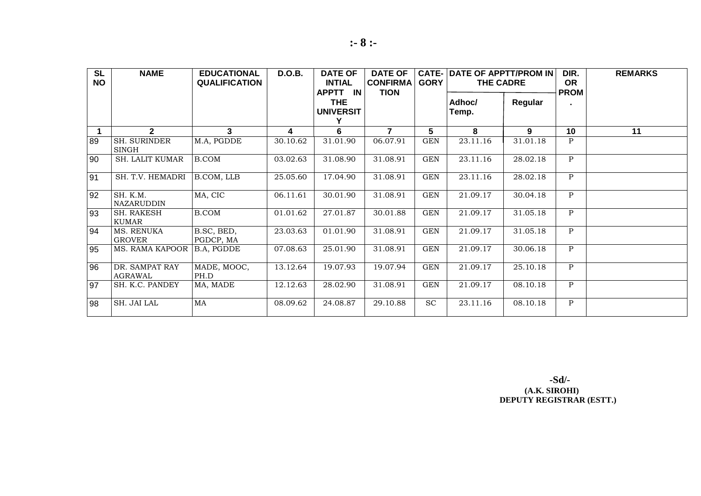| <b>SL</b><br><b>NO</b> | <b>NAME</b>                   | <b>EDUCATIONAL</b><br><b>QUALIFICATION</b> | <b>D.O.B.</b> | <b>DATE OF</b><br><b>INTIAL</b><br>APPTT IN | <b>DATE OF</b><br><b>CONFIRMA</b><br><b>TION</b> | $CATE-$<br><b>GORY</b> | <b>DATE OF APPTT/PROM IN</b><br><b>THE CADRE</b> |          | DIR.<br><b>OR</b><br><b>PROM</b> | <b>REMARKS</b> |
|------------------------|-------------------------------|--------------------------------------------|---------------|---------------------------------------------|--------------------------------------------------|------------------------|--------------------------------------------------|----------|----------------------------------|----------------|
|                        |                               |                                            |               | <b>THE</b><br><b>UNIVERSIT</b>              |                                                  |                        | Adhoc/<br>Temp.                                  | Regular  |                                  |                |
| 1                      | $\mathbf{2}$                  | 3                                          | 4             | 6                                           | $\overline{7}$                                   | 5                      | 8                                                | 9        | 10                               | 11             |
| 89                     | <b>SH. SURINDER</b><br>SINGH  | M.A, PGDDE                                 | 30.10.62      | 31.01.90                                    | 06.07.91                                         | <b>GEN</b>             | 23.11.16                                         | 31.01.18 | $\mathbf{P}$                     |                |
| 90                     | <b>SH. LALIT KUMAR</b>        | <b>B.COM</b>                               | 03.02.63      | 31.08.90                                    | 31.08.91                                         | GEN                    | 23.11.16                                         | 28.02.18 | $\mathbf{P}$                     |                |
| 91                     | SH. T.V. HEMADRI              | B.COM, LLB                                 | 25.05.60      | 17.04.90                                    | 31.08.91                                         | <b>GEN</b>             | 23.11.16                                         | 28.02.18 | $\mathbf{P}$                     |                |
| 92                     | SH. K.M.<br><b>NAZARUDDIN</b> | MA, CIC                                    | 06.11.61      | 30.01.90                                    | 31.08.91                                         | GEN                    | 21.09.17                                         | 30.04.18 | $\, {\bf P}$                     |                |
| 93                     | SH. RAKESH<br><b>KUMAR</b>    | <b>B.COM</b>                               | 01.01.62      | 27.01.87                                    | 30.01.88                                         | <b>GEN</b>             | 21.09.17                                         | 31.05.18 | P                                |                |
| 94                     | MS. RENUKA<br><b>GROVER</b>   | B.SC, BED,<br>PGDCP, MA                    | 23.03.63      | 01.01.90                                    | 31.08.91                                         | <b>GEN</b>             | 21.09.17                                         | 31.05.18 | $\mathbf{P}$                     |                |
| 95                     | <b>MS. RAMA KAPOOR</b>        | B.A, PGDDE                                 | 07.08.63      | 25.01.90                                    | 31.08.91                                         | GEN                    | 21.09.17                                         | 30.06.18 | P                                |                |
| 96                     | DR. SAMPAT RAY<br>AGRAWAL     | MADE, MOOC,<br>PH.D                        | 13.12.64      | 19.07.93                                    | 19.07.94                                         | <b>GEN</b>             | 21.09.17                                         | 25.10.18 | $\mathbf{P}$                     |                |
| 97                     | SH. K.C. PANDEY               | MA, MADE                                   | 12.12.63      | 28.02.90                                    | 31.08.91                                         | $\operatorname{GEN}$   | 21.09.17                                         | 08.10.18 | $\mathbf{P}$                     |                |
| 98                     | SH. JAI LAL                   | MA                                         | 08.09.62      | 24.08.87                                    | 29.10.88                                         | <b>SC</b>              | 23.11.16                                         | 08.10.18 | P                                |                |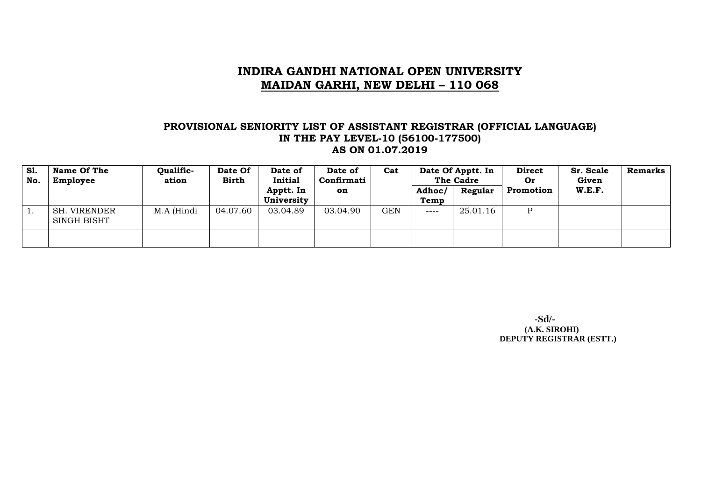### **PROVISIONAL SENIORITY LIST OF ASSISTANT REGISTRAR (OFFICIAL LANGUAGE) IN THE PAY LEVEL-10 (56100-177500) AS ON 01.07.2019**

| <b>S1.</b><br>No. | Name Of The<br>Employee     | Qualific-<br>ation | Date Of<br><b>Birth</b> | Date of<br>Initial      | Date of<br>Confirmati | Cat | Date Of Apptt. In<br>The Cadre |          | <b>Direct</b><br>Or | Sr. Scale<br>Given | <b>Remarks</b> |
|-------------------|-----------------------------|--------------------|-------------------------|-------------------------|-----------------------|-----|--------------------------------|----------|---------------------|--------------------|----------------|
|                   |                             |                    |                         | Apptt. In<br>University | on                    |     | Adhoc/<br>Temp                 | Regular  | Promotion           | <b>W.E.F.</b>      |                |
|                   | SH. VIRENDER<br>SINGH BISHT | M.A (Hindi         | 04.07.60                | 03.04.89                | 03.04.90              | GEN | $---$                          | 25.01.16 |                     |                    |                |
|                   |                             |                    |                         |                         |                       |     |                                |          |                     |                    |                |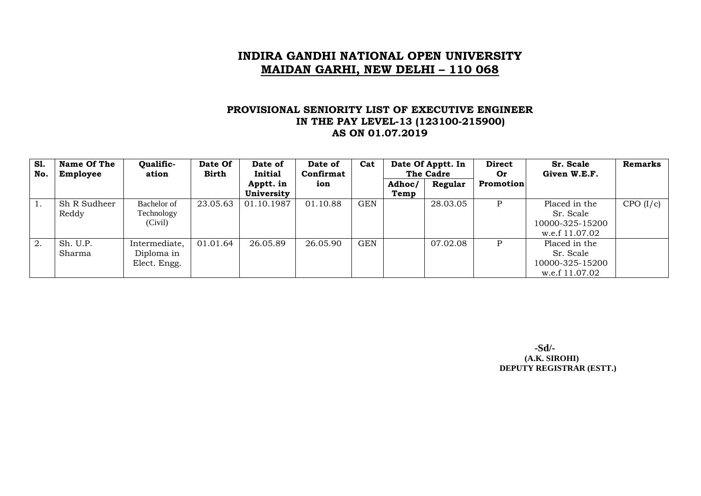### **PROVISIONAL SENIORITY LIST OF EXECUTIVE ENGINEER IN THE PAY LEVEL-13 (123100-215900) AS ON 01.07.2019**

| S1.<br>No. | Name Of The<br>Employee | Qualific-<br>ation                          | Date Of<br><b>Birth</b> | Date of<br><b>Initial</b> | Date of<br>Confirmat | Cat        | Date Of Apptt. In<br>The Cadre |          | <b>Direct</b><br><b>Or</b> | Sr. Scale<br>Given W.E.F.                                       | <b>Remarks</b> |
|------------|-------------------------|---------------------------------------------|-------------------------|---------------------------|----------------------|------------|--------------------------------|----------|----------------------------|-----------------------------------------------------------------|----------------|
|            |                         |                                             |                         | Apptt. in<br>University   | ion                  |            | Adhoc/<br>Temp                 | Regular  | Promotion                  |                                                                 |                |
|            | Sh R Sudheer<br>Reddy   | Bachelor of<br>Technology<br>(Civil)        | 23.05.63                | 01.10.1987                | 01.10.88             | GEN        |                                | 28.03.05 | P                          | Placed in the<br>Sr. Scale<br>10000-325-15200<br>w.e.f 11.07.02 | CPO (I/c)      |
| 2.         | Sh. U.P.<br>Sharma      | Intermediate,<br>Diploma in<br>Elect. Engg. | 01.01.64                | 26.05.89                  | 26.05.90             | <b>GEN</b> |                                | 07.02.08 | P                          | Placed in the<br>Sr. Scale<br>10000-325-15200<br>w.e.f 11.07.02 |                |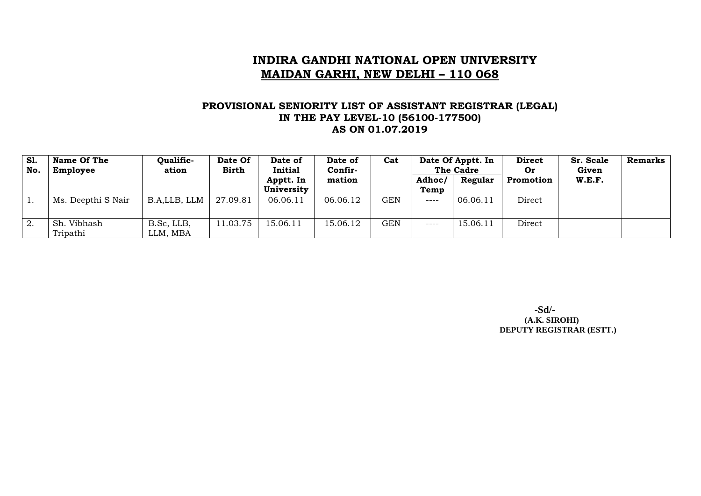#### **PROVISIONAL SENIORITY LIST OF ASSISTANT REGISTRAR (LEGAL) IN THE PAY LEVEL-10 (56100-177500) AS ON 01.07.2019**

| S1.<br>No. | Name Of The<br>Employee      | Qualific-<br>ation     | Date Of<br><b>Birth</b> | Date of<br>Initial      | Date of<br>Confir- | Cat        | Date Of Apptt. In<br><b>The Cadre</b> |          | <b>Direct</b><br><b>Or</b> | Sr. Scale<br>Given | Remarks |
|------------|------------------------------|------------------------|-------------------------|-------------------------|--------------------|------------|---------------------------------------|----------|----------------------------|--------------------|---------|
|            |                              |                        |                         | Apptt. In<br>University | mation             |            | Adhoc/<br>Temp                        | Regular  | Promotion                  | W.E.F.             |         |
|            | Ms. Deepthi S Nair           | B.A.LLB, LLM           | 27.09.81                | 06.06.11                | 06.06.12           | GEN        | $--- -$                               | 06.06.11 | Direct                     |                    |         |
| 2.         | . Vibhash<br>Sh.<br>Tripathi | B.Sc, LLB,<br>LLM, MBA | 11.03.75                | 15.06.11                | 15.06.12           | <b>GEN</b> | $--- -$                               | 15.06.11 | Direct                     |                    |         |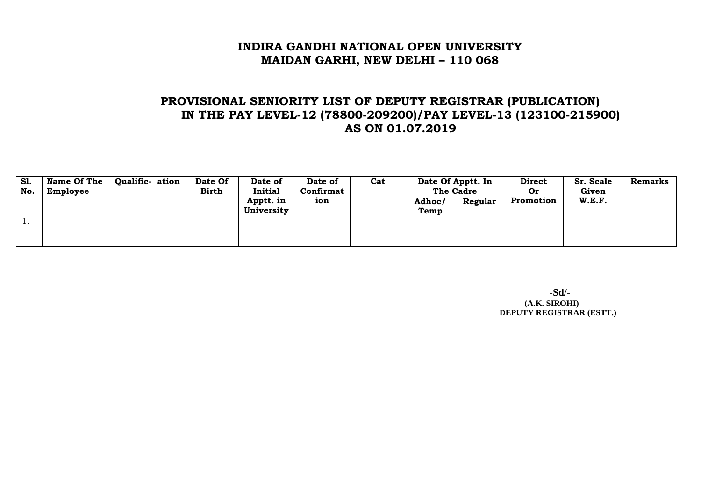# **PROVISIONAL SENIORITY LIST OF DEPUTY REGISTRAR (PUBLICATION) IN THE PAY LEVEL-12 (78800-209200)/PAY LEVEL-13 (123100-215900) AS ON 01.07.2019**

| <b>S1.</b><br>No. | <b>Name Of The</b><br>Employee | Qualific- ation | Date Of<br>Birth | Date of<br>Initial      | Date of<br>Confirmat | Cat | Date Of Apptt. In<br><b>The Cadre</b> |         | <b>Direct</b><br>0r | Sr. Scale<br>Given |  | Remarks |
|-------------------|--------------------------------|-----------------|------------------|-------------------------|----------------------|-----|---------------------------------------|---------|---------------------|--------------------|--|---------|
|                   |                                |                 |                  | Apptt. in<br>University | ion                  |     | Adhoc/<br>Temp                        | Regular | Promotion           | W.E.F.             |  |         |
| <b>.</b>          |                                |                 |                  |                         |                      |     |                                       |         |                     |                    |  |         |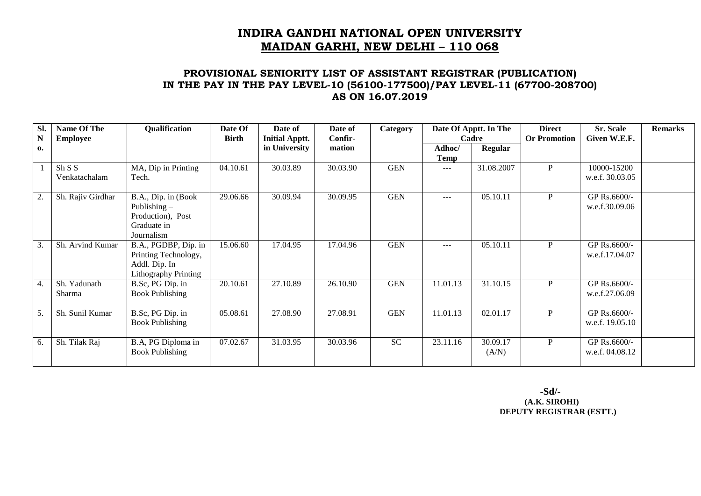### **PROVISIONAL SENIORITY LIST OF ASSISTANT REGISTRAR (PUBLICATION) IN THE PAY IN THE PAY LEVEL-10 (56100-177500)/PAY LEVEL-11 (67700-208700) AS ON 16.07.2019**

| Sl.<br>${\bf N}$ | Name Of The<br><b>Employee</b> | Qualification                                                                                | Date Of<br><b>Birth</b> | Date of<br><b>Initial Apptt.</b> | Date of<br>Confir- | Category   |                | Date Of Apptt. In The<br>Cadre | <b>Direct</b><br><b>Or Promotion</b> | <b>Sr. Scale</b><br>Given W.E.F. | <b>Remarks</b> |
|------------------|--------------------------------|----------------------------------------------------------------------------------------------|-------------------------|----------------------------------|--------------------|------------|----------------|--------------------------------|--------------------------------------|----------------------------------|----------------|
| 0.               |                                |                                                                                              |                         | in University                    | mation             |            | Adhoc/<br>Temp | <b>Regular</b>                 |                                      |                                  |                |
|                  | Sh S S<br>Venkatachalam        | MA, Dip in Printing<br>Tech.                                                                 | 04.10.61                | 30.03.89                         | 30.03.90           | <b>GEN</b> | $---$          | 31.08.2007                     | P                                    | 10000-15200<br>w.e.f. 30.03.05   |                |
| 2.               | Sh. Rajiv Girdhar              | B.A., Dip. in (Book<br>Publishing $-$<br>Production), Post<br>Graduate in<br>Journalism      | 29.06.66                | 30.09.94                         | 30.09.95           | <b>GEN</b> | $---$          | 05.10.11                       | $\mathbf{P}$                         | GP Rs.6600/-<br>w.e.f.30.09.06   |                |
| 3.               | Sh. Arvind Kumar               | B.A., PGDBP, Dip. in<br>Printing Technology,<br>Addl. Dip. In<br><b>Lithography Printing</b> | 15.06.60                | 17.04.95                         | 17.04.96           | <b>GEN</b> | $---$          | 05.10.11                       | $\mathbf{P}$                         | GP Rs.6600/-<br>w.e.f.17.04.07   |                |
| 4.               | Sh. Yadunath<br>Sharma         | B.Sc, PG Dip. in<br><b>Book Publishing</b>                                                   | 20.10.61                | 27.10.89                         | 26.10.90           | <b>GEN</b> | 11.01.13       | 31.10.15                       | $\mathbf{P}$                         | GP Rs.6600/-<br>w.e.f.27.06.09   |                |
| 5.               | Sh. Sunil Kumar                | B.Sc, PG Dip. in<br><b>Book Publishing</b>                                                   | 05.08.61                | 27.08.90                         | 27.08.91           | <b>GEN</b> | 11.01.13       | 02.01.17                       | P                                    | GP Rs.6600/-<br>w.e.f. 19.05.10  |                |
| 6.               | Sh. Tilak Raj                  | B.A, PG Diploma in<br><b>Book Publishing</b>                                                 | 07.02.67                | 31.03.95                         | 30.03.96           | <b>SC</b>  | 23.11.16       | 30.09.17<br>(A/N)              | P                                    | GP Rs.6600/-<br>w.e.f. 04.08.12  |                |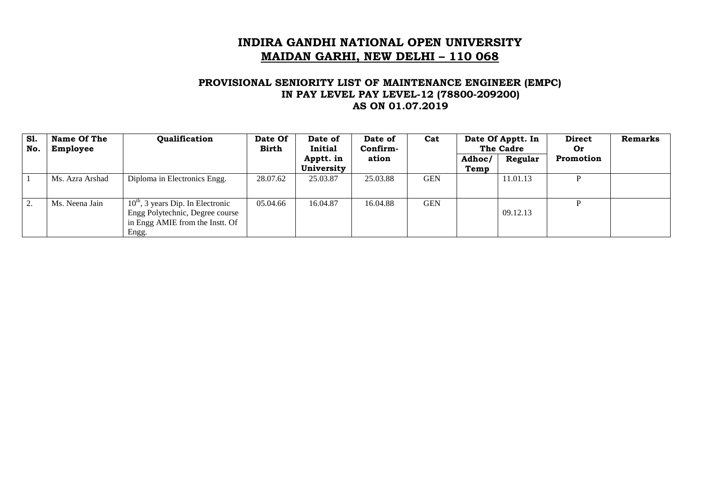### **PROVISIONAL SENIORITY LIST OF MAINTENANCE ENGINEER (EMPC) IN PAY LEVEL PAY LEVEL-12 (78800-209200) AS ON 01.07.2019**

| <b>S1.</b><br>No. | Name Of The<br>Employee | Qualification                                                                                                      | Date Of<br><b>Birth</b> | Date of<br>Initial      | Date Of Apptt. In<br>Cat<br>Date of<br>The Cadre<br>Confirm- |            |                | <b>Direct</b><br>Or | <b>Remarks</b> |  |
|-------------------|-------------------------|--------------------------------------------------------------------------------------------------------------------|-------------------------|-------------------------|--------------------------------------------------------------|------------|----------------|---------------------|----------------|--|
|                   |                         |                                                                                                                    |                         | Apptt. in<br>University | ation                                                        |            | Adhoc/<br>Temp | Regular             | Promotion      |  |
|                   | Ms. Azra Arshad         | Diploma in Electronics Engg.                                                                                       | 28.07.62                | 25.03.87                | 25.03.88                                                     | <b>GEN</b> |                | 11.01.13            |                |  |
| 2.                | Ms. Neena Jain          | $10th$ , 3 years Dip. In Electronic<br>Engg Polytechnic, Degree course<br>in Engg AMIE from the Instt. Of<br>Engg. | 05.04.66                | 16.04.87                | 16.04.88                                                     | <b>GEN</b> |                | 09.12.13            |                |  |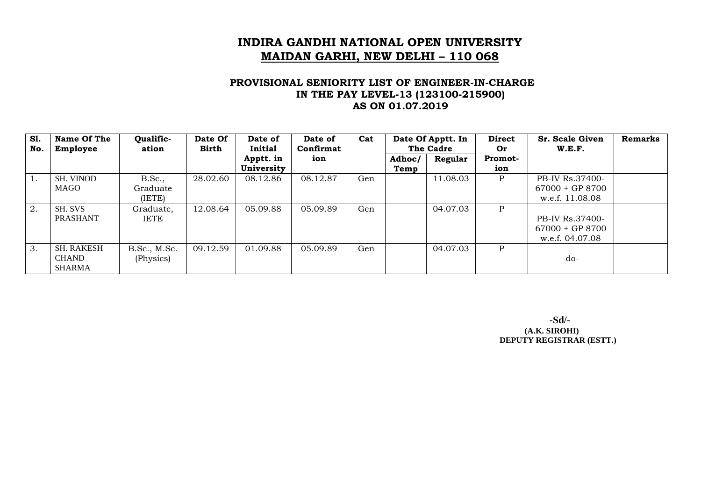### **PROVISIONAL SENIORITY LIST OF ENGINEER-IN-CHARGE IN THE PAY LEVEL-13 (123100-215900) AS ON 01.07.2019**

| <b>S1.</b><br>No. | Name Of The<br>Employee | Qualific-<br>ation | Date Of<br>Birth | Date of<br>Initial | Date of<br>Confirmat | Cat | Date Of Apptt. In<br>The Cadre |          | <b>Direct</b><br>Or | Sr. Scale Given<br>W.E.F. | <b>Remarks</b> |
|-------------------|-------------------------|--------------------|------------------|--------------------|----------------------|-----|--------------------------------|----------|---------------------|---------------------------|----------------|
|                   |                         |                    |                  | Apptt. in          | ion                  |     | Adhoc/                         | Regular  | <b>Promot-</b>      |                           |                |
|                   |                         |                    |                  | University         |                      |     | Temp                           |          | ion                 |                           |                |
| $\overline{1}$ .  | <b>SH. VINOD</b>        | B.Sc.,             | 28.02.60         | 08.12.86           | 08.12.87             | Gen |                                | 11.08.03 | P                   | PB-IV Rs.37400-           |                |
|                   | <b>MAGO</b>             | Graduate           |                  |                    |                      |     |                                |          |                     | $67000 + GP 8700$         |                |
|                   |                         | (IETE)             |                  |                    |                      |     |                                |          |                     | w.e.f. 11.08.08           |                |
| 2.                | SH. SVS                 | Graduate,          | 12.08.64         | 05.09.88           | 05.09.89             | Gen |                                | 04.07.03 | P                   |                           |                |
|                   | <b>PRASHANT</b>         | <b>IETE</b>        |                  |                    |                      |     |                                |          |                     | PB-IV Rs.37400-           |                |
|                   |                         |                    |                  |                    |                      |     |                                |          |                     | $67000 + GP 8700$         |                |
|                   |                         |                    |                  |                    |                      |     |                                |          |                     | w.e.f. 04.07.08           |                |
| $\overline{3}$ .  | <b>SH. RAKESH</b>       | B.Sc., M.Sc.       | 09.12.59         | 01.09.88           | 05.09.89             | Gen |                                | 04.07.03 | P                   |                           |                |
|                   | <b>CHAND</b>            | (Physics)          |                  |                    |                      |     |                                |          |                     | -do-                      |                |
|                   | <b>SHARMA</b>           |                    |                  |                    |                      |     |                                |          |                     |                           |                |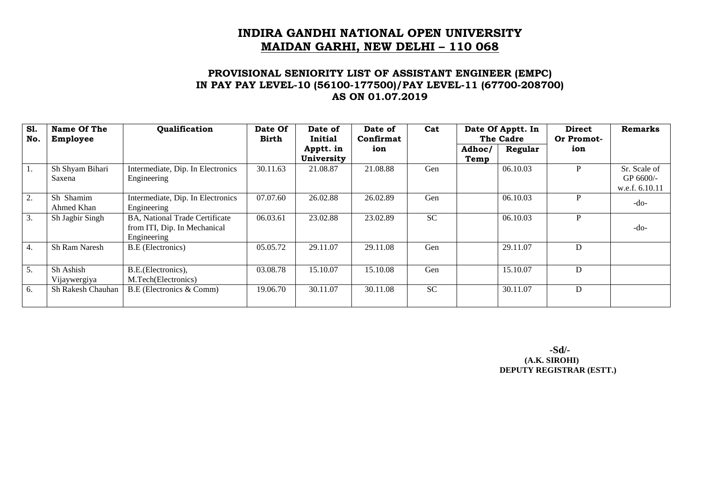### **PROVISIONAL SENIORITY LIST OF ASSISTANT ENGINEER (EMPC) IN PAY PAY LEVEL-10 (56100-177500)/PAY LEVEL-11 (67700-208700) AS ON 01.07.2019**

| <b>S1.</b><br>No. | Name Of The<br>Employee   | Qualification                                                                 | Date Of<br><b>Birth</b> | Date of<br>Initial      | Date of<br>Confirmat | Cat       | Date Of Apptt. In<br>The Cadre |          | <b>Direct</b><br>Or Promot- | <b>Remarks</b>                                 |
|-------------------|---------------------------|-------------------------------------------------------------------------------|-------------------------|-------------------------|----------------------|-----------|--------------------------------|----------|-----------------------------|------------------------------------------------|
|                   |                           |                                                                               |                         | Apptt. in<br>University | ion                  |           | Adhoc/<br>Temp                 | Regular  | ion                         |                                                |
| 1.                | Sh Shyam Bihari<br>Saxena | Intermediate, Dip. In Electronics<br>Engineering                              | 30.11.63                | 21.08.87                | 21.08.88             | Gen       |                                | 06.10.03 | P                           | Sr. Scale of<br>GP $6600$ /-<br>w.e.f. 6.10.11 |
| 2.                | Sh Shamim<br>Ahmed Khan   | Intermediate, Dip. In Electronics<br>Engineering                              | 07.07.60                | 26.02.88                | 26.02.89             | Gen       |                                | 06.10.03 | P                           | $-do-$                                         |
| $\overline{3}$ .  | Sh Jagbir Singh           | BA, National Trade Certificate<br>from ITI, Dip. In Mechanical<br>Engineering | 06.03.61                | 23.02.88                | 23.02.89             | <b>SC</b> |                                | 06.10.03 | P                           | $-do-$                                         |
| 4.                | Sh Ram Naresh             | <b>B.E</b> (Electronics)                                                      | 05.05.72                | 29.11.07                | 29.11.08             | Gen       |                                | 29.11.07 | D                           |                                                |
| 5.                | Sh Ashish<br>Vijaywergiya | B.E. (Electronics),<br>M.Tech(Electronics)                                    | 03.08.78                | 15.10.07                | 15.10.08             | Gen       |                                | 15.10.07 | D                           |                                                |
| 6.                | <b>Sh Rakesh Chauhan</b>  | B.E (Electronics & Comm)                                                      | 19.06.70                | 30.11.07                | 30.11.08             | <b>SC</b> |                                | 30.11.07 | D                           |                                                |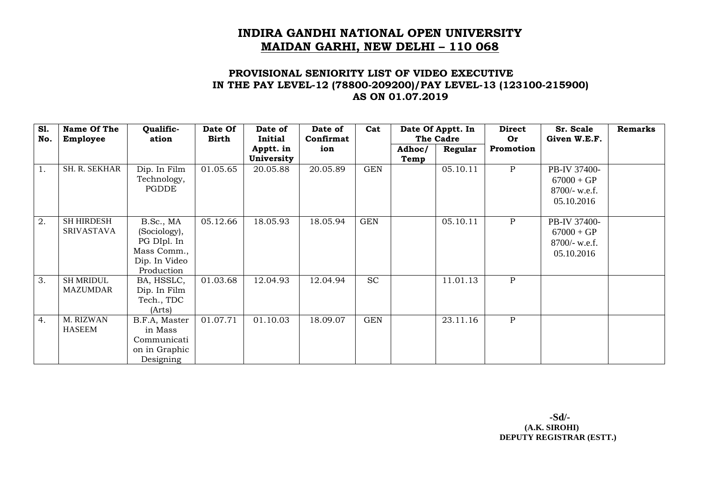### **PROVISIONAL SENIORITY LIST OF VIDEO EXECUTIVE IN THE PAY LEVEL-12 (78800-209200)/PAY LEVEL-13 (123100-215900) AS ON 01.07.2019**

| <b>S1.</b> | Name Of The          | Qualific-     | Date Of      | Date of        | Date of   | Cat        |        | Date Of Apptt. In | <b>Direct</b> | Sr. Scale       | <b>Remarks</b> |
|------------|----------------------|---------------|--------------|----------------|-----------|------------|--------|-------------------|---------------|-----------------|----------------|
| No.        | <b>Employee</b>      | ation         | <b>Birth</b> | <b>Initial</b> | Confirmat |            |        | The Cadre         | Or            | Given W.E.F.    |                |
|            |                      |               |              | Apptt. in      | ion       |            | Adhoc/ | Regular           | Promotion     |                 |                |
|            |                      |               |              | University     |           |            | Temp   |                   |               |                 |                |
| 1.         | <b>SH. R. SEKHAR</b> | Dip. In Film  | 01.05.65     | 20.05.88       | 20.05.89  | <b>GEN</b> |        | 05.10.11          | $\mathbf{P}$  | PB-IV 37400-    |                |
|            |                      | Technology,   |              |                |           |            |        |                   |               | $67000 + GP$    |                |
|            |                      | PGDDE         |              |                |           |            |        |                   |               | $8700/-$ w.e.f. |                |
|            |                      |               |              |                |           |            |        |                   |               | 05.10.2016      |                |
|            |                      |               |              |                |           |            |        |                   |               |                 |                |
| 2.         | <b>SH HIRDESH</b>    | B.Sc., MA     | 05.12.66     | 18.05.93       | 18.05.94  | <b>GEN</b> |        | 05.10.11          | $\mathbf{P}$  | PB-IV 37400-    |                |
|            | <b>SRIVASTAVA</b>    | (Sociology),  |              |                |           |            |        |                   |               | $67000 + GP$    |                |
|            |                      | PG DIpl. In   |              |                |           |            |        |                   |               | $8700/-$ w.e.f. |                |
|            |                      | Mass Comm.,   |              |                |           |            |        |                   |               | 05.10.2016      |                |
|            |                      | Dip. In Video |              |                |           |            |        |                   |               |                 |                |
|            |                      | Production    |              |                |           |            |        |                   |               |                 |                |
| 3.         | <b>SH MRIDUL</b>     | BA, HSSLC,    | 01.03.68     | 12.04.93       | 12.04.94  | <b>SC</b>  |        | 11.01.13          | $\mathbf{P}$  |                 |                |
|            | <b>MAZUMDAR</b>      | Dip. In Film  |              |                |           |            |        |                   |               |                 |                |
|            |                      | Tech., TDC    |              |                |           |            |        |                   |               |                 |                |
|            |                      | (Arts)        |              |                |           |            |        |                   |               |                 |                |
| 4.         | M. RIZWAN            | B.F.A, Master | 01.07.71     | 01.10.03       | 18.09.07  | <b>GEN</b> |        | 23.11.16          | $\mathbf{P}$  |                 |                |
|            | <b>HASEEM</b>        | in Mass       |              |                |           |            |        |                   |               |                 |                |
|            |                      | Communicati   |              |                |           |            |        |                   |               |                 |                |
|            |                      | on in Graphic |              |                |           |            |        |                   |               |                 |                |
|            |                      | Designing     |              |                |           |            |        |                   |               |                 |                |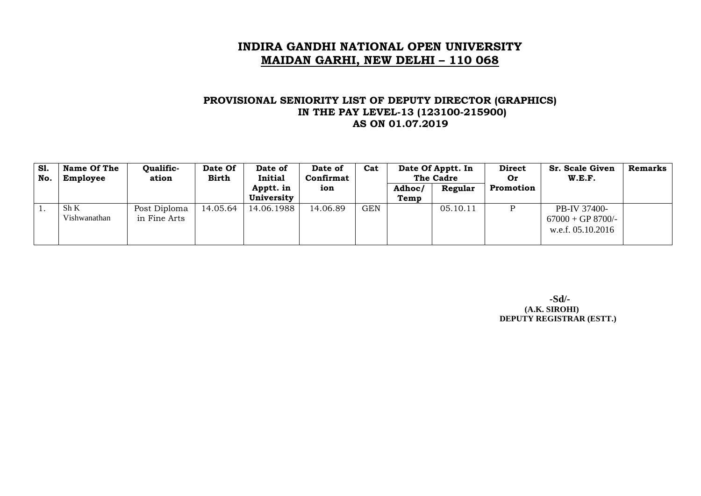### **PROVISIONAL SENIORITY LIST OF DEPUTY DIRECTOR (GRAPHICS) IN THE PAY LEVEL-13 (123100-215900) AS ON 01.07.2019**

| <b>S1.</b><br>No. | <b>Name Of The</b><br>Employee | Qualific-<br>ation           | Date Of<br><b>Birth</b> | Date of<br>Initial      | Date of<br>Confirmat | Cat | Date Of Apptt. In<br>The Cadre |          | <b>Direct</b><br>Or | <b>Sr. Scale Given</b><br>W.E.F.                         | <b>Remarks</b> |
|-------------------|--------------------------------|------------------------------|-------------------------|-------------------------|----------------------|-----|--------------------------------|----------|---------------------|----------------------------------------------------------|----------------|
|                   |                                |                              |                         | Apptt. in<br>University | ion                  |     | Adhoc/<br>Temp                 | Regular  | Promotion           |                                                          |                |
|                   | Sh K<br>Vishwanathan           | Post Diploma<br>in Fine Arts | 14.05.64                | 14.06.1988              | 14.06.89             | GEN |                                | 05.10.11 | D                   | PB-IV 37400-<br>$67000 + GP 8700/-$<br>w.e.f. 05.10.2016 |                |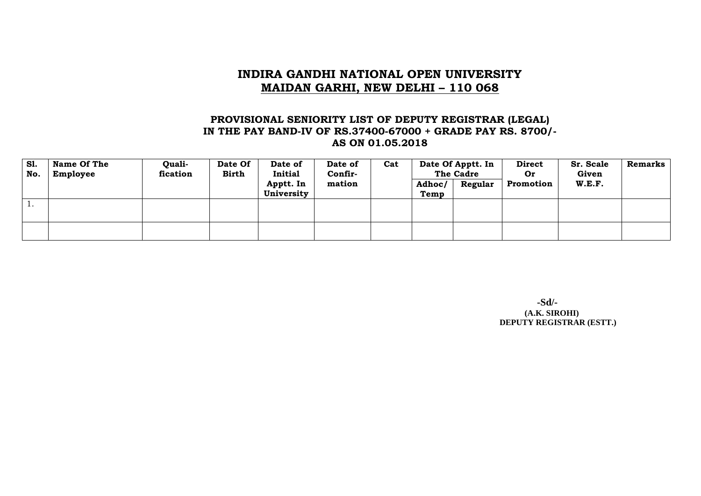### **PROVISIONAL SENIORITY LIST OF DEPUTY REGISTRAR (LEGAL) IN THE PAY BAND-IV OF RS.37400-67000 + GRADE PAY RS. 8700/- AS ON 01.05.2018**

| <b>S1.</b><br>No. | Name Of The<br>Employee | <b>Quali-</b><br>fication | Date Of<br><b>Birth</b> | Date of<br><b>Initial</b> | Date of<br>Confir- | Cat | Date Of Apptt. In<br>The Cadre |         | <b>Direct</b><br><b>Or</b> | Sr. Scale<br>Given | <b>Remarks</b> |
|-------------------|-------------------------|---------------------------|-------------------------|---------------------------|--------------------|-----|--------------------------------|---------|----------------------------|--------------------|----------------|
|                   |                         |                           |                         | Apptt. In<br>University   | mation             |     | Adhoc/<br>Temp                 | Regular | Promotion                  | W.E.F.             |                |
| ι.                |                         |                           |                         |                           |                    |     |                                |         |                            |                    |                |
|                   |                         |                           |                         |                           |                    |     |                                |         |                            |                    |                |